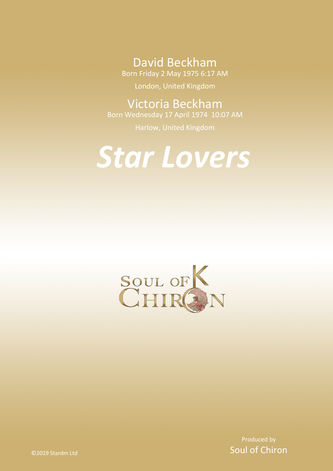David Beckham

Born Friday 2 May 1975 6:17 AM

London, United Kingdom

Victoria Beckham

Born Wednesday 17 April 1974 10:07 AM

Harlow, United Kingdom

# *Star Lovers*



Produced by Soul of Chiron

©2019 Stardm Ltd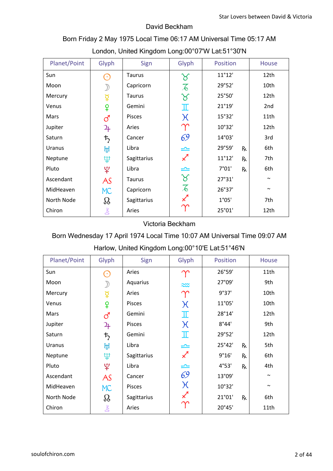### David Beckham

### Born Friday 2 May 1975 Local Time 06:17 AM Universal Time 05:17 AM London, United Kingdom Long:00°07'W Lat:51°30'N

| Planet/Point | Glyph                | Sign          | Glyph                      | Position              | House  |
|--------------|----------------------|---------------|----------------------------|-----------------------|--------|
| Sun          | $(\cdot)$            | <b>Taurus</b> | ୪                          | $11^{\circ}12'$       | 12th   |
| Moon         | $\mathcal{D}$        | Capricorn     | $\overline{\mathcal{L}}$   | 29°52'                | 10th   |
| Mercury      | $\breve{\mathrm{Q}}$ | <b>Taurus</b> | ४                          | 25°50'                | 12th   |
| Venus        | ¥                    | Gemini        | I                          | 21°19'                | 2nd    |
| Mars         | ්                    | Pisces        | $\chi$                     | 15°32'                | 11th   |
| Jupiter      | 4                    | Aries         | $\Upsilon$                 | 10°32'                | 12th   |
| Saturn       | ち                    | Cancer        | 69                         | 14°03'                | 3rd    |
| Uranus       | ਸ਼੍ਰ                 | Libra         | ≏                          | 29°59'<br>Rx          | 6th    |
| Neptune      | Ψ                    | Sagittarius   | $\boldsymbol{\mathcal{K}}$ | $11^{\circ}12'$<br>Rx | 7th    |
| Pluto        | ೪                    | Libra         | ≏=                         | 7°01'<br>Rx           | 6th    |
| Ascendant    | AS                   | <b>Taurus</b> | $\gamma$                   | 27°31'                | $\sim$ |
| MidHeaven    | <b>MC</b>            | Capricorn     | $\overline{\mathcal{A}}$   | 26°37'                | $\sim$ |
| North Node   | $\Omega$             | Sagittarius   | $\boldsymbol{\mathcal{K}}$ | 1°05'                 | 7th    |
| Chiron       | 飞                    | Aries         |                            | 25°01'                | 12th   |

### Victoria Beckham

### Born Wednesday 17 April 1974 Local Time 10:07 AM Universal Time 09:07 AM

| <b>Hanow, Onlied Kingdom Long.00 TO L Lat.01 40 IV</b> |                        |             |                  |              |        |  |  |  |
|--------------------------------------------------------|------------------------|-------------|------------------|--------------|--------|--|--|--|
| Planet/Point                                           | Glyph                  | Sign        | Glyph            | Position     | House  |  |  |  |
| Sun                                                    | $(\cdot)$              | Aries       | $\gamma$         | 26°59'       | 11th   |  |  |  |
| Moon                                                   |                        | Aquarius    | $\approx$        | 27°09'       | 9th    |  |  |  |
| Mercury                                                | $\overline{Q}$         | Aries       | $\Upsilon$       | 9°37'        | 10th   |  |  |  |
| Venus                                                  | ¥                      | Pisces      | $\chi$           | 11°05'       | 10th   |  |  |  |
| Mars                                                   | ර                      | Gemini      | Ι                | 28°14'       | 12th   |  |  |  |
| Jupiter                                                | $\mathfrak{P}_{\!+\!}$ | Pisces      | $\chi$           | 8°44'        | 9th    |  |  |  |
| Saturn                                                 | $\bm{\ddot{5}}$        | Gemini      | Ι                | 29°52'       | 12th   |  |  |  |
| Uranus                                                 | ਸ਼੍ਰ                   | Libra       | $\equiv$         | 25°42'<br>Rx | 5th    |  |  |  |
| Neptune                                                | Ψ                      | Sagittarius | $\measuredangle$ | 9°16'<br>Rx  | 6th    |  |  |  |
| Pluto                                                  | ಀೣ                     | Libra       | ≏                | 4°53'<br>Rx  | 4th    |  |  |  |
| Ascendant                                              | AS                     | Cancer      | 69               | 13°09'       | $\sim$ |  |  |  |
| MidHeaven                                              | MC                     | Pisces      | $\chi$           | 10°32'       | $\sim$ |  |  |  |
| North Node                                             | $\Omega$               | Sagittarius | $\measuredangle$ | 21°01'<br>Rx | 6th    |  |  |  |
| Chiron                                                 | 飞                      | Aries       |                  | 20°45'       | 11th   |  |  |  |

### Harlow, United Kingdom Long:00°10'E Lat:51°46'N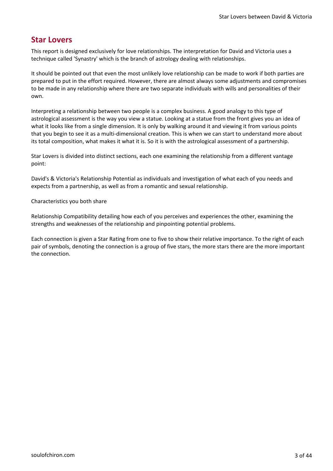### **Star Lovers**

This report is designed exclusively for love relationships. The interpretation for David and Victoria uses a technique called 'Synastry' which is the branch of astrology dealing with relationships.

It should be pointed out that even the most unlikely love relationship can be made to work if both parties are prepared to put in the effort required. However, there are almost always some adjustments and compromises to be made in any relationship where there are two separate individuals with wills and personalities of their own.

Interpreting a relationship between two people is a complex business. A good analogy to this type of astrological assessment is the way you view a statue. Looking at a statue from the front gives you an idea of what it looks like from a single dimension. It is only by walking around it and viewing it from various points that you begin to see it as a multi-dimensional creation. This is when we can start to understand more about its total composition, what makes it what it is. So it is with the astrological assessment of a partnership.

Star Lovers is divided into distinct sections, each one examining the relationship from a different vantage point:

David's & Victoria's Relationship Potential as individuals and investigation of what each of you needs and expects from a partnership, as well as from a romantic and sexual relationship.

Characteristics you both share

Relationship Compatibility detailing how each of you perceives and experiences the other, examining the strengths and weaknesses of the relationship and pinpointing potential problems.

Each connection is given a Star Rating from one to five to show their relative importance. To the right of each pair of symbols, denoting the connection is a group of five stars, the more stars there are the more important the connection.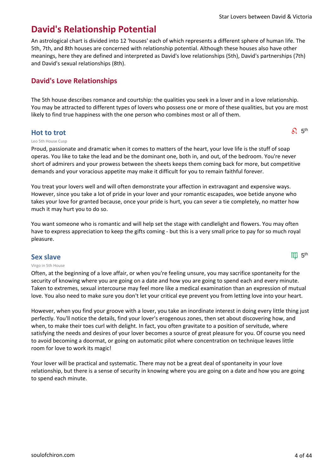$\delta^{1}$  5<sup>th</sup>

 $\Pi\mathbb{J}$  5<sup>th</sup>

## **David's Relationship Potential**

An astrological chart is divided into 12 'houses' each of which represents a different sphere of human life. The 5th, 7th, and 8th houses are concerned with relationship potential. Although these houses also have other meanings, here they are defined and interpreted as David's love relationships (5th), David's partnerships (7th) and David's sexual relationships (8th).

### **David's Love Relationships**

The 5th house describes romance and courtship: the qualities you seek in a lover and in a love relationship. You may be attracted to different types of lovers who possess one or more of these qualities, but you are most likely to find true happiness with the one person who combines most or all of them.

### **Hot to trot**

#### Leo 5th House Cusp

Proud, passionate and dramatic when it comes to matters of the heart, your love life is the stuff of soap operas. You like to take the lead and be the dominant one, both in, and out, of the bedroom. You're never short of admirers and your prowess between the sheets keeps them coming back for more, but competitive demands and your voracious appetite may make it difficult for you to remain faithful forever.

You treat your lovers well and will often demonstrate your affection in extravagant and expensive ways. However, since you take a lot of pride in your lover and your romantic escapades, woe betide anyone who takes your love for granted because, once your pride is hurt, you can sever a tie completely, no matter how much it may hurt you to do so.

You want someone who is romantic and will help set the stage with candlelight and flowers. You may often have to express appreciation to keep the gifts coming - but this is a very small price to pay for so much royal pleasure.

### **Sex slave**

#### Virgo in 5th House

Often, at the beginning of a love affair, or when you're feeling unsure, you may sacrifice spontaneity for the security of knowing where you are going on a date and how you are going to spend each and every minute. Taken to extremes, sexual intercourse may feel more like a medical examination than an expression of mutual love. You also need to make sure you don't let your critical eye prevent you from letting love into your heart.

However, when you find your groove with a lover, you take an inordinate interest in doing every little thing just perfectly. You'll notice the details, find your lover's erogenous zones, then set about discovering how, and when, to make their toes curl with delight. In fact, you often gravitate to a position of servitude, where satisfying the needs and desires of your lover becomes a source of great pleasure for you. Of course you need to avoid becoming a doormat, or going on automatic pilot where concentration on technique leaves little room for love to work its magic!

Your lover will be practical and systematic. There may not be a great deal of spontaneity in your love relationship, but there is a sense of security in knowing where you are going on a date and how you are going to spend each minute.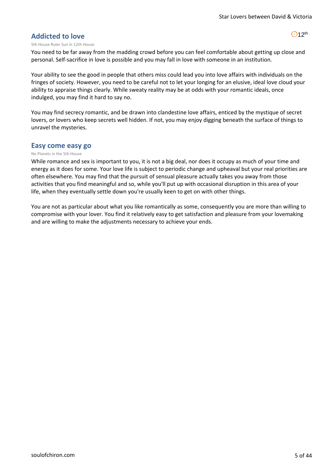$O$ 12<sup>th</sup>

### **Addicted to love**

#### 5th House Ruler Sun in 12th House

You need to be far away from the madding crowd before you can feel comfortable about getting up close and personal. Self-sacrifice in love is possible and you may fall in love with someone in an institution.

Your ability to see the good in people that others miss could lead you into love affairs with individuals on the fringes of society. However, you need to be careful not to let your longing for an elusive, ideal love cloud your ability to appraise things clearly. While sweaty reality may be at odds with your romantic ideals, once indulged, you may find it hard to say no.

You may find secrecy romantic, and be drawn into clandestine love affairs, enticed by the mystique of secret lovers, or lovers who keep secrets well hidden. If not, you may enjoy digging beneath the surface of things to unravel the mysteries.

#### **Easy come easy go**

#### No Planets in the 5th House

While romance and sex is important to you, it is not a big deal, nor does it occupy as much of your time and energy as it does for some. Your love life is subject to periodic change and upheaval but your real priorities are often elsewhere. You may find that the pursuit of sensual pleasure actually takes you away from those activities that you find meaningful and so, while you'll put up with occasional disruption in this area of your life, when they eventually settle down you're usually keen to get on with other things.

You are not as particular about what you like romantically as some, consequently you are more than willing to compromise with your lover. You find it relatively easy to get satisfaction and pleasure from your lovemaking and are willing to make the adjustments necessary to achieve your ends.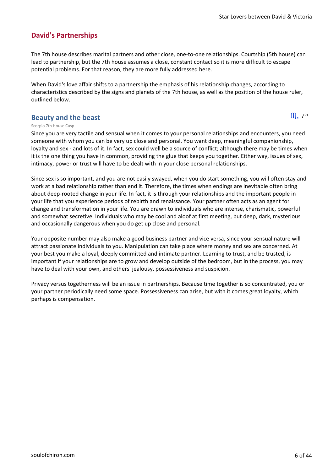### **David's Partnerships**

The 7th house describes marital partners and other close, one-to-one relationships. Courtship (5th house) can lead to partnership, but the 7th house assumes a close, constant contact so it is more difficult to escape potential problems. For that reason, they are more fully addressed here.

When David's love affair shifts to a partnership the emphasis of his relationship changes, according to characteristics described by the signs and planets of the 7th house, as well as the position of the house ruler, outlined below.

### **Beauty and the beast**

 $III<sub>a</sub>$  7<sup>th</sup>

#### Scorpio 7th House Cusp

Since you are very tactile and sensual when it comes to your personal relationships and encounters, you need someone with whom you can be very up close and personal. You want deep, meaningful companionship, loyalty and sex - and lots of it. In fact, sex could well be a source of conflict; although there may be times when it is the one thing you have in common, providing the glue that keeps you together. Either way, issues of sex, intimacy, power or trust will have to be dealt with in your close personal relationships.

Since sex is so important, and you are not easily swayed, when you do start something, you will often stay and work at a bad relationship rather than end it. Therefore, the times when endings are inevitable often bring about deep-rooted change in your life. In fact, it is through your relationships and the important people in your life that you experience periods of rebirth and renaissance. Your partner often acts as an agent for change and transformation in your life. You are drawn to individuals who are intense, charismatic, powerful and somewhat secretive. Individuals who may be cool and aloof at first meeting, but deep, dark, mysterious and occasionally dangerous when you do get up close and personal.

Your opposite number may also make a good business partner and vice versa, since your sensual nature will attract passionate individuals to you. Manipulation can take place where money and sex are concerned. At your best you make a loyal, deeply committed and intimate partner. Learning to trust, and be trusted, is important if your relationships are to grow and develop outside of the bedroom, but in the process, you may have to deal with your own, and others' jealousy, possessiveness and suspicion.

Privacy versus togetherness will be an issue in partnerships. Because time together is so concentrated, you or your partner periodically need some space. Possessiveness can arise, but with it comes great loyalty, which perhaps is compensation.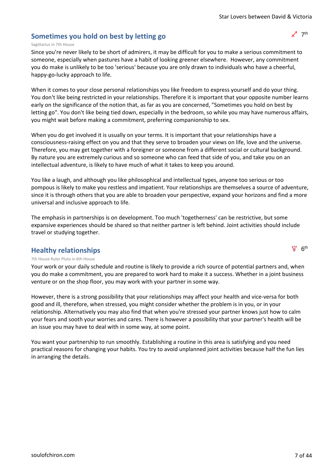### **Sometimes you hold on best by letting go**

#### Sagittarius in 7th House

Since you're never likely to be short of admirers, it may be difficult for you to make a serious commitment to someone, especially when pastures have a habit of looking greener elsewhere. However, any commitment you do make is unlikely to be too 'serious' because you are only drawn to individuals who have a cheerful, happy-go-lucky approach to life.

When it comes to your close personal relationships you like freedom to express yourself and do your thing. You don't like being restricted in your relationships. Therefore it is important that your opposite number learns early on the significance of the notion that, as far as you are concerned, "Sometimes you hold on best by letting go". You don't like being tied down, especially in the bedroom, so while you may have numerous affairs, you might wait before making a commitment, preferring companionship to sex.

When you do get involved it is usually on your terms. It is important that your relationships have a consciousness-raising effect on you and that they serve to broaden your views on life, love and the universe. Therefore, you may get together with a foreigner or someone from a different social or cultural background. By nature you are extremely curious and so someone who can feed that side of you, and take you on an intellectual adventure, is likely to have much of what it takes to keep you around.

You like a laugh, and although you like philosophical and intellectual types, anyone too serious or too pompous is likely to make you restless and impatient. Your relationships are themselves a source of adventure, since it is through others that you are able to broaden your perspective, expand your horizons and find a more universal and inclusive approach to life.

The emphasis in partnerships is on development. Too much 'togetherness' can be restrictive, but some expansive experiences should be shared so that neither partner is left behind. Joint activities should include travel or studying together.

### **Healthy relationships**

7th House Ruler Pluto in 6th House

Your work or your daily schedule and routine is likely to provide a rich source of potential partners and, when you do make a commitment, you are prepared to work hard to make it a success. Whether in a joint business venture or on the shop floor, you may work with your partner in some way.

However, there is a strong possibility that your relationships may affect your health and vice-versa for both good and ill, therefore, when stressed, you might consider whether the problem is in you, or in your relationship. Alternatively you may also find that when you're stressed your partner knows just how to calm your fears and sooth your worries and cares. There is however a possibility that your partner's health will be an issue you may have to deal with in some way, at some point.

You want your partnership to run smoothly. Establishing a routine in this area is satisfying and you need practical reasons for changing your habits. You try to avoid unplanned joint activities because half the fun lies in arranging the details.



 $\Psi$  6<sup>th</sup>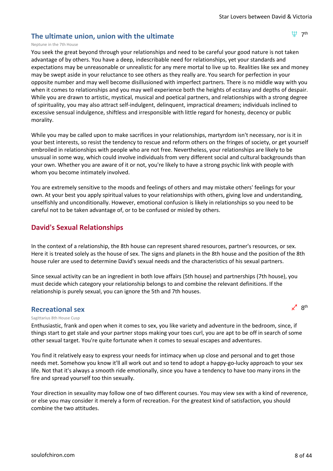### **The ultimate union, union with the ultimate**

凹 7<sup>th</sup>

#### Neptune in the 7th House

You seek the great beyond through your relationships and need to be careful your good nature is not taken advantage of by others. You have a deep, indescribable need for relationships, yet your standards and expectations may be unreasonable or unrealistic for any mere mortal to live up to. Realities like sex and money may be swept aside in your reluctance to see others as they really are. You search for perfection in your opposite number and may well become disillusioned with imperfect partners. There is no middle way with you when it comes to relationships and you may well experience both the heights of ecstasy and depths of despair. While you are drawn to artistic, mystical, musical and poetical partners, and relationships with a strong degree of spirituality, you may also attract self-indulgent, delinquent, impractical dreamers; individuals inclined to excessive sensual indulgence, shiftless and irresponsible with little regard for honesty, decency or public morality.

While you may be called upon to make sacrifices in your relationships, martyrdom isn't necessary, nor is it in your best interests, so resist the tendency to rescue and reform others on the fringes of society, or get yourself embroiled in relationships with people who are not free. Nevertheless, your relationships are likely to be unusual in some way, which could involve individuals from very different social and cultural backgrounds than your own. Whether you are aware of it or not, you're likely to have a strong psychic link with people with whom you become intimately involved.

You are extremely sensitive to the moods and feelings of others and may mistake others' feelings for your own. At your best you apply spiritual values to your relationships with others, giving love and understanding, unselfishly and unconditionally. However, emotional confusion is likely in relationships so you need to be careful not to be taken advantage of, or to be confused or misled by others.

### **David's Sexual Relationships**

In the context of a relationship, the 8th house can represent shared resources, partner's resources, or sex. Here it is treated solely as the house of sex. The signs and planets in the 8th house and the position of the 8th house ruler are used to determine David's sexual needs and the characteristics of his sexual partners.

Since sexual activity can be an ingredient in both love affairs (5th house) and partnerships (7th house), you must decide which category your relationship belongs to and combine the relevant definitions. If the relationship is purely sexual, you can ignore the 5th and 7th houses.

### **Recreational sex**



#### Sagittarius 8th House Cusp

Enthusiastic, frank and open when it comes to sex, you like variety and adventure in the bedroom, since, if things start to get stale and your partner stops making your toes curl, you are apt to be off in search of some other sexual target. You're quite fortunate when it comes to sexual escapes and adventures.

You find it relatively easy to express your needs for intimacy when up close and personal and to get those needs met. Somehow you know it'll all work out and so tend to adopt a happy-go-lucky approach to your sex life. Not that it's always a smooth ride emotionally, since you have a tendency to have too many irons in the fire and spread yourself too thin sexually.

Your direction in sexuality may follow one of two different courses. You may view sex with a kind of reverence, or else you may consider it merely a form of recreation. For the greatest kind of satisfaction, you should combine the two attitudes.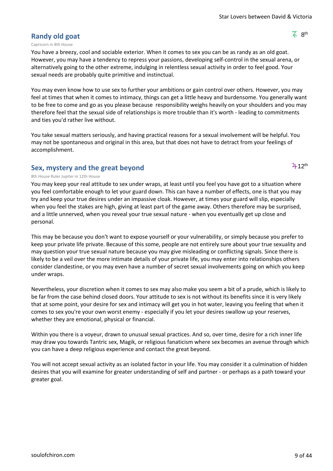$\overline{6}$  8<sup>th</sup>

 $2 + 12$ <sup>th</sup>

### **Randy old goat**

#### Capricorn in 8th House

You have a breezy, cool and sociable exterior. When it comes to sex you can be as randy as an old goat. However, you may have a tendency to repress your passions, developing self-control in the sexual arena, or alternatively going to the other extreme, indulging in relentless sexual activity in order to feel good. Your sexual needs are probably quite primitive and instinctual.

You may even know how to use sex to further your ambitions or gain control over others. However, you may feel at times that when it comes to intimacy, things can get a little heavy and burdensome. You generally want to be free to come and go as you please because responsibility weighs heavily on your shoulders and you may therefore feel that the sexual side of relationships is more trouble than it's worth - leading to commitments and ties you'd rather live without.

You take sexual matters seriously, and having practical reasons for a sexual involvement will be helpful. You may not be spontaneous and original in this area, but that does not have to detract from your feelings of accomplishment.

### **Sex, mystery and the great beyond**

#### 8th House Ruler Jupiter in 12th House

You may keep your real attitude to sex under wraps, at least until you feel you have got to a situation where you feel comfortable enough to let your guard down. This can have a number of effects, one is that you may try and keep your true desires under an impassive cloak. However, at times your guard will slip, especially when you feel the stakes are high, giving at least part of the game away. Others therefore may be surprised, and a little unnerved, when you reveal your true sexual nature - when you eventually get up close and personal.

This may be because you don't want to expose yourself or your vulnerability, or simply because you prefer to keep your private life private. Because of this some, people are not entirely sure about your true sexuality and may question your true sexual nature because you may give misleading or conflicting signals. Since there is likely to be a veil over the more intimate details of your private life, you may enter into relationships others consider clandestine, or you may even have a number of secret sexual involvements going on which you keep under wraps.

Nevertheless, your discretion when it comes to sex may also make you seem a bit of a prude, which is likely to be far from the case behind closed doors. Your attitude to sex is not without its benefits since it is very likely that at some point, your desire for sex and intimacy will get you in hot water, leaving you feeling that when it comes to sex you're your own worst enemy - especially if you let your desires swallow up your reserves, whether they are emotional, physical or financial.

Within you there is a voyeur, drawn to unusual sexual practices. And so, over time, desire for a rich inner life may draw you towards Tantric sex, Magik, or religious fanaticism where sex becomes an avenue through which you can have a deep religious experience and contact the great beyond.

You will not accept sexual activity as an isolated factor in your life. You may consider it a culmination of hidden desires that you will examine for greater understanding of self and partner - or perhaps as a path toward your greater goal.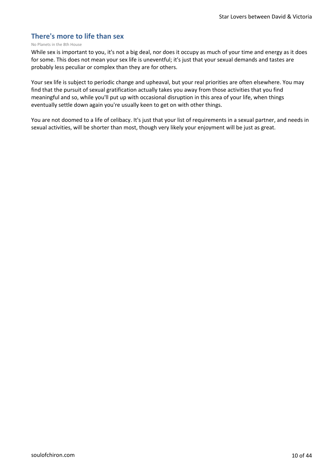### **There's more to life than sex**

#### No Planets in the 8th House

While sex is important to you, it's not a big deal, nor does it occupy as much of your time and energy as it does for some. This does not mean your sex life is uneventful; it's just that your sexual demands and tastes are probably less peculiar or complex than they are for others.

Your sex life is subject to periodic change and upheaval, but your real priorities are often elsewhere. You may find that the pursuit of sexual gratification actually takes you away from those activities that you find meaningful and so, while you'll put up with occasional disruption in this area of your life, when things eventually settle down again you're usually keen to get on with other things.

You are not doomed to a life of celibacy. It's just that your list of requirements in a sexual partner, and needs in sexual activities, will be shorter than most, though very likely your enjoyment will be just as great.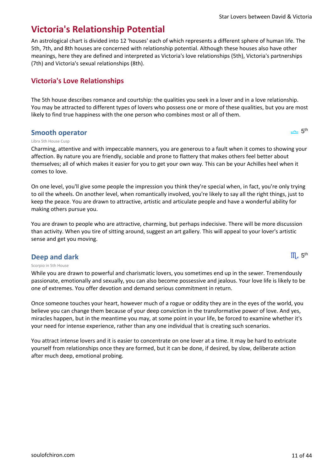$\equiv$  5<sup>th</sup>

 $III<sub>a</sub> 5<sup>th</sup>$ 

# **Victoria's Relationship Potential**

An astrological chart is divided into 12 'houses' each of which represents a different sphere of human life. The 5th, 7th, and 8th houses are concerned with relationship potential. Although these houses also have other meanings, here they are defined and interpreted as Victoria's love relationships (5th), Victoria's partnerships (7th) and Victoria's sexual relationships (8th).

### **Victoria's Love Relationships**

The 5th house describes romance and courtship: the qualities you seek in a lover and in a love relationship. You may be attracted to different types of lovers who possess one or more of these qualities, but you are most likely to find true happiness with the one person who combines most or all of them.

### **Smooth operator**

#### Libra 5th House Cusp

Charming, attentive and with impeccable manners, you are generous to a fault when it comes to showing your affection. By nature you are friendly, sociable and prone to flattery that makes others feel better about themselves; all of which makes it easier for you to get your own way. This can be your Achilles heel when it comes to love.

On one level, you'll give some people the impression you think they're special when, in fact, you're only trying to oil the wheels. On another level, when romantically involved, you're likely to say all the right things, just to keep the peace. You are drawn to attractive, artistic and articulate people and have a wonderful ability for making others pursue you.

You are drawn to people who are attractive, charming, but perhaps indecisive. There will be more discussion than activity. When you tire of sitting around, suggest an art gallery. This will appeal to your lover's artistic sense and get you moving.

### **Deep and dark**

#### Scorpio in 5th House

While you are drawn to powerful and charismatic lovers, you sometimes end up in the sewer. Tremendously passionate, emotionally and sexually, you can also become possessive and jealous. Your love life is likely to be one of extremes. You offer devotion and demand serious commitment in return.

Once someone touches your heart, however much of a rogue or oddity they are in the eyes of the world, you believe you can change them because of your deep conviction in the transformative power of love. And yes, miracles happen, but in the meantime you may, at some point in your life, be forced to examine whether it's your need for intense experience, rather than any one individual that is creating such scenarios.

You attract intense lovers and it is easier to concentrate on one lover at a time. It may be hard to extricate yourself from relationships once they are formed, but it can be done, if desired, by slow, deliberate action after much deep, emotional probing.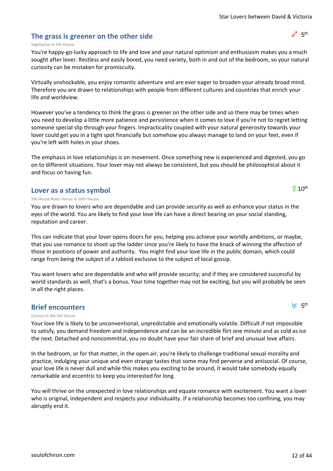### **The grass is greener on the other side**

### Sagittarius in 5th House

You're happy-go-lucky approach to life and love and your natural optimism and enthusiasm makes you a much sought after lover. Restless and easily bored, you need variety, both in and out of the bedroom, so your natural curiosity can be mistaken for promiscuity.

Virtually unshockable, you enjoy romantic adventure and are ever eager to broaden your already broad mind. Therefore you are drawn to relationships with people from different cultures and countries that enrich your life and worldview.

However you've a tendency to think the grass is greener on the other side and so there may be times when you need to develop a little more patience and persistence when it comes to love if you're not to regret letting someone special slip through your fingers. Impracticality coupled with your natural generosity towards your lover could get you in a tight spot financially but somehow you always manage to land on your feet, even if you're left with holes in your shoes.

The emphasis in love relationships is on movement. Once something new is experienced and digested, you go on to different situations. Your lover may not always be consistent, but you should be philosophical about it and focus on having fun.

### **Lover as a status symbol**

### 5th House Ruler Venus in 10th House

You are drawn to lovers who are dependable and can provide security as well as enhance your status in the eyes of the world. You are likely to find your love life can have a direct bearing on your social standing, reputation and career.

This can indicate that your lover opens doors for you, helping you achieve your worldly ambitions, or maybe, that you use romance to shoot up the ladder since you're likely to have the knack of winning the affection of those in positions of power and authority. You might find your love life in the public domain, which could range from being the subject of a tabloid exclusive to the subject of local gossip.

You want lovers who are dependable and who will provide security; and if they are considered successful by world standards as well, that's a bonus. Your time together may not be exciting, but you will probably be seen in all the right places.

### **Brief encounters**

### Uranus in the 5th House

Your love life is likely to be unconventional, unpredictable and emotionally volatile. Difficult if not impossible to satisfy, you demand freedom and independence and can be an incredible flirt one minute and as cold as ice the next. Detached and noncommittal, you no doubt have your fair share of brief and unusual love affairs.

In the bedroom, or for that matter, in the open air, you're likely to challenge traditional sexual morality and practice, indulging your unique and even strange tastes that some may find perverse and antisocial. Of course, your love life is never dull and while this makes you exciting to be around, it would take somebody equally remarkable and eccentric to keep you interested for long.

You will thrive on the unexpected in love relationships and equate romance with excitement. You want a lover who is original, independent and respects your individuality. If a relationship becomes too confining, you may abruptly end it.



 $9.10<sup>th</sup>$ 

**H** 5<sup>th</sup>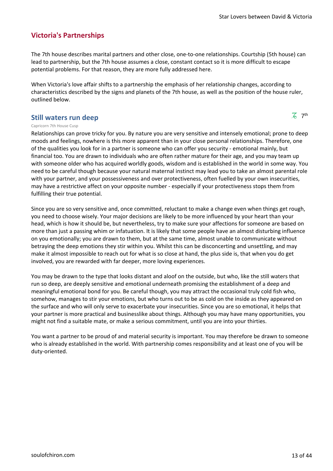### **Victoria's Partnerships**

The 7th house describes marital partners and other close, one-to-one relationships. Courtship (5th house) can lead to partnership, but the 7th house assumes a close, constant contact so it is more difficult to escape potential problems. For that reason, they are more fully addressed here.

When Victoria's love affair shifts to a partnership the emphasis of her relationship changes, according to characteristics described by the signs and planets of the 7th house, as well as the position of the house ruler, outlined below.

#### **Still waters run deep**

 $\overline{6}$  7<sup>th</sup>

#### Capricorn 7th House Cusp

Relationships can prove tricky for you. By nature you are very sensitive and intensely emotional; prone to deep moods and feelings, nowhere is this more apparent than in your close personal relationships. Therefore, one of the qualities you look for in a partner is someone who can offer you security - emotional mainly, but financial too. You are drawn to individuals who are often rather mature for their age, and you may team up with someone older who has acquired worldly goods, wisdom and is established in the world in some way. You need to be careful though because your natural maternal instinct may lead you to take an almost parental role with your partner, and your possessiveness and over protectiveness, often fuelled by your own insecurities, may have a restrictive affect on your opposite number - especially if your protectiveness stops them from fulfilling their true potential.

Since you are so very sensitive and, once committed, reluctant to make a change even when things get rough, you need to choose wisely. Your major decisions are likely to be more influenced by your heart than your head, which is how it should be, but nevertheless, try to make sure your affections for someone are based on more than just a passing whim or infatuation. It is likely that some people have an almost disturbing influence on you emotionally; you are drawn to them, but at the same time, almost unable to communicate without betraying the deep emotions they stir within you. Whilst this can be disconcerting and unsettling, and may make it almost impossible to reach out for what is so close at hand, the plus side is, that when you do get involved, you are rewarded with far deeper, more loving experiences.

You may be drawn to the type that looks distant and aloof on the outside, but who, like the still waters that run so deep, are deeply sensitive and emotional underneath promising the establishment of a deep and meaningful emotional bond for you. Be careful though, you may attract the occasional truly cold fish who, somehow, manages to stir your emotions, but who turns out to be as cold on the inside as they appeared on the surface and who will only serve to exacerbate your insecurities. Since you are so emotional, it helps that your partner is more practical and businesslike about things. Although you may have many opportunities, you might not find a suitable mate, or make a serious commitment, until you are into your thirties.

You want a partner to be proud of and material security is important. You may therefore be drawn to someone who is already established in the world. With partnership comes responsibility and at least one of you will be duty-oriented.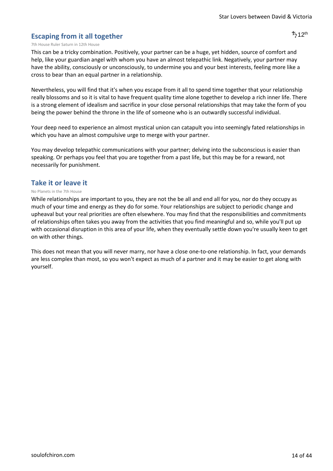### **Escaping from it all together**

#### 7th House Ruler Saturn in 12th House

This can be a tricky combination. Positively, your partner can be a huge, yet hidden, source of comfort and help, like your guardian angel with whom you have an almost telepathic link. Negatively, your partner may have the ability, consciously or unconsciously, to undermine you and your best interests, feeling more like a cross to bear than an equal partner in a relationship.

Nevertheless, you will find that it's when you escape from it all to spend time together that your relationship really blossoms and so it is vital to have frequent quality time alone together to develop a rich inner life. There is a strong element of idealism and sacrifice in your close personal relationships that may take the form of you being the power behind the throne in the life of someone who is an outwardly successful individual.

Your deep need to experience an almost mystical union can catapult you into seemingly fated relationships in which you have an almost compulsive urge to merge with your partner.

You may develop telepathic communications with your partner; delving into the subconscious is easier than speaking. Or perhaps you feel that you are together from a past life, but this may be for a reward, not necessarily for punishment.

### **Take it or leave it**

#### No Planets in the 7th House

While relationships are important to you, they are not the be all and end all for you, nor do they occupy as much of your time and energy as they do for some. Your relationships are subject to periodic change and upheaval but your real priorities are often elsewhere. You may find that the responsibilities and commitments of relationships often takes you away from the activities that you find meaningful and so, while you'll put up with occasional disruption in this area of your life, when they eventually settle down you're usually keen to get on with other things.

This does not mean that you will never marry, nor have a close one-to-one relationship. In fact, your demands are less complex than most, so you won't expect as much of a partner and it may be easier to get along with yourself.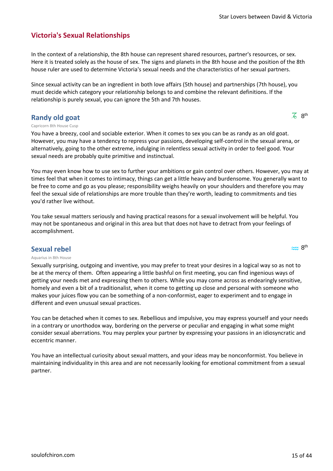### **Victoria's Sexual Relationships**

In the context of a relationship, the 8th house can represent shared resources, partner's resources, or sex. Here it is treated solely as the house of sex. The signs and planets in the 8th house and the position of the 8th house ruler are used to determine Victoria's sexual needs and the characteristics of her sexual partners.

Since sexual activity can be an ingredient in both love affairs (5th house) and partnerships (7th house), you must decide which category your relationship belongs to and combine the relevant definitions. If the relationship is purely sexual, you can ignore the 5th and 7th houses.

### **Randy old goat**

 $\overline{6}$  8<sup>th</sup>

 $\approx 8$ <sup>th</sup>

#### Capricorn 8th House Cusp

You have a breezy, cool and sociable exterior. When it comes to sex you can be as randy as an old goat. However, you may have a tendency to repress your passions, developing self-control in the sexual arena, or alternatively, going to the other extreme, indulging in relentless sexual activity in order to feel good. Your sexual needs are probably quite primitive and instinctual.

You may even know how to use sex to further your ambitions or gain control over others. However, you may at times feel that when it comes to intimacy, things can get a little heavy and burdensome. You generally want to be free to come and go as you please; responsibility weighs heavily on your shoulders and therefore you may feel the sexual side of relationships are more trouble than they're worth, leading to commitments and ties you'd rather live without.

You take sexual matters seriously and having practical reasons for a sexual involvement will be helpful. You may not be spontaneous and original in this area but that does not have to detract from your feelings of accomplishment.

### **Sexual rebel**

#### Aquarius in 8th House

Sexually surprising, outgoing and inventive, you may prefer to treat your desires in a logical way so as not to be at the mercy of them. Often appearing a little bashful on first meeting, you can find ingenious ways of getting your needs met and expressing them to others. While you may come across as endearingly sensitive, homely and even a bit of a traditionalist, when it come to getting up close and personal with someone who makes your juices flow you can be something of a non-conformist, eager to experiment and to engage in different and even unusual sexual practices.

You can be detached when it comes to sex. Rebellious and impulsive, you may express yourself and your needs in a contrary or unorthodox way, bordering on the perverse or peculiar and engaging in what some might consider sexual aberrations. You may perplex your partner by expressing your passions in an idiosyncratic and eccentric manner.

You have an intellectual curiosity about sexual matters, and your ideas may be nonconformist. You believe in maintaining individuality in this area and are not necessarily looking for emotional commitment from a sexual partner.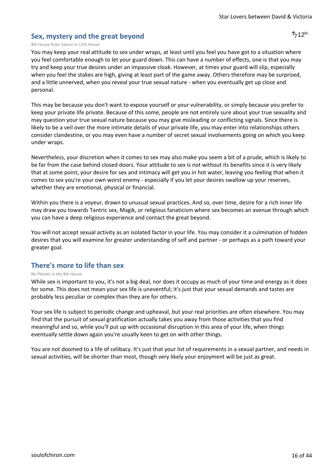### **Sex, mystery and the great beyond**

#### 8th House Ruler Saturn in 12th House

You may keep your real attitude to sex under wraps, at least until you feel you have got to a situation where you feel comfortable enough to let your guard down. This can have a number of effects, one is that you may try and keep your true desires under an impassive cloak. However, at times your guard will slip, especially when you feel the stakes are high, giving at least part of the game away. Others therefore may be surprised, and a little unnerved, when you reveal your true sexual nature - when you eventually get up close and personal.

This may be because you don't want to expose yourself or your vulnerability, or simply because you prefer to keep your private life private. Because of this some, people are not entirely sure about your true sexuality and may question your true sexual nature because you may give misleading or conflicting signals. Since there is likely to be a veil over the more intimate details of your private life, you may enter into relationships others consider clandestine, or you may even have a number of secret sexual involvements going on which you keep under wraps.

Nevertheless, your discretion when it comes to sex may also make you seem a bit of a prude, which is likely to be far from the case behind closed doors. Your attitude to sex is not without its benefits since it is very likely that at some point, your desire for sex and intimacy will get you in hot water, leaving you feeling that when it comes to sex you're your own worst enemy - especially if you let your desires swallow up your reserves, whether they are emotional, physical or financial.

Within you there is a voyeur, drawn to unusual sexual practices. And so, over time, desire for a rich inner life may draw you towards Tantric sex, Magik, or religious fanaticism where sex becomes an avenue through which you can have a deep religious experience and contact the great beyond.

You will not accept sexual activity as an isolated factor in your life. You may consider it a culmination of hidden desires that you will examine for greater understanding of self and partner - or perhaps as a path toward your greater goal.

### **There's more to life than sex**

#### No Planets in the 8th House

While sex is important to you, it's not a big deal, nor does it occupy as much of your time and energy as it does for some. This does not mean your sex life is uneventful; it's just that your sexual demands and tastes are probably less peculiar or complex than they are for others.

Your sex life is subject to periodic change and upheaval, but your real priorities are often elsewhere. You may find that the pursuit of sexual gratification actually takes you away from those activities that you find meaningful and so, while you'll put up with occasional disruption in this area of your life, when things eventually settle down again you're usually keen to get on with other things.

You are not doomed to a life of celibacy. It's just that your list of requirements in a sexual partner, and needs in sexual activities, will be shorter than most, though very likely your enjoyment will be just as great.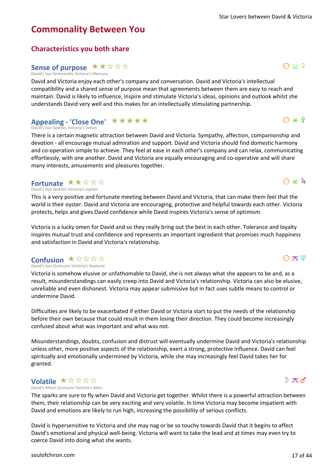### **Commonality Between You**

**Characteristics you both share** Sense of purpose  $\star\star\star\star\star$ 

David's Sun Semisextile Victoria's Mercury

David and Victoria enjoy each other's company and conversation. David and Victoria's intellectual compatibility and a shared sense of purpose mean that agreements between them are easy to reach and maintain. David is likely to influence, inspire and stimulate Victoria's ideas, opinions and outlook whilst she understands David very well and this makes for an intellectually stimulating partnership.

### Appealing - 'Close One' ★ ★ ★ ★ ★

David's Sun Sextiles Victoria's Venus

There is a certain magnetic attraction between David and Victoria. Sympathy, affection, companionship and devotion - all encourage mutual admiration and support. David and Victoria should find domestic harmony and co-operation simple to achieve. They feel at ease in each other's company and can relax, communicating effortlessly, with one another. David and Victoria are equally encouraging and co-operative and will share many interests, amusements and pleasures together.

### **Fortunate** ★★☆☆☆

David's Sun Sextiles Victoria's Jupiter

This is a very positive and fortunate meeting between David and Victoria, that can make them feel that the world is their oyster. David and Victoria are encouraging, protective and helpful towards each other. Victoria protects, helps and gives David confidence while David inspires Victoria's sense of optimism.

Victoria is a lucky omen for David and so they really bring out the best in each other. Tolerance and loyalty inspires mutual trust and confidence and represents an important ingredient that promises much happiness and satisfaction in David and Victoria's relationship.

### **Confusion ★☆☆☆☆**

David's Sun Quincunx Victoria's Neptune

Victoria is somehow elusive or unfathomable to David, she is not always what she appears to be and, as a result, misunderstandings can easily creep into David and Victoria's relationship. Victoria can also be elusive, unreliable and even dishonest. Victoria may appear submissive but in fact uses subtle means to control or undermine David.

Difficulties are likely to be exacerbated if either David or Victoria start to put the needs of the relationship before their own because that could result in them losing their direction. They could become increasingly confused about what was important and what was not.

Misunderstandings, doubts, confusion and distrust will eventually undermine David and Victoria's relationship unless other, more positive aspects of the relationship, exert a strong, protective influence. David can feel spiritually and emotionally undermined by Victoria, while she may increasingly feel David takes her for granted.

### **Volatile**  $\star$  \* \* \* \*

David's Moon Quincunx Victoria's Mars

The sparks are sure to fly when David and Victoria get together. Whilst there is a powerful attraction between them, their relationship can be very exciting and very volatile. In time Victoria may become impatient with David and emotions are likely to run high, increasing the possibility of serious conflicts.

David is hypersensitive to Victoria and she may nag or be so touchy towards David that it begins to affect David's emotional and physical well-being. Victoria will want to take the lead and at times may even try to coerce David into doing what she wants.

 $D \pi d$ 



 $O \times \Psi$ 

 $Q \vee \overline{Q}$ 

 $O*$ 

 $\odot$   $\star$  4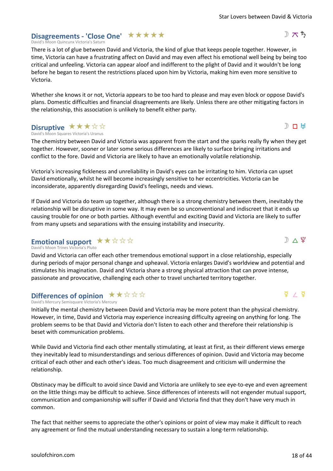### Disagreements - 'Close One' **★ ★ ★ ★ ★**

David's Moon Quincunx Victoria's Saturn

There is a lot of glue between David and Victoria, the kind of glue that keeps people together. However, in time, Victoria can have a frustrating affect on David and may even affect his emotional well being by being too critical and unfeeling. Victoria can appear aloof and indifferent to the plight of David and it wouldn't be long before he began to resent the restrictions placed upon him by Victoria, making him even more sensitive to Victoria.

Whether she knows it or not, Victoria appears to be too hard to please and may even block or oppose David's plans. Domestic difficulties and financial disagreements are likely. Unless there are other mitigating factors in the relationship, this association is unlikely to benefit either party.

#### David's Moon Squares Victoria's Uranus **Disruptive \*\*\*\***

The chemistry between David and Victoria was apparent from the start and the sparks really fly when they get together. However, sooner or later some serious differences are likely to surface bringing irritations and conflict to the fore. David and Victoria are likely to have an emotionally volatile relationship.

Victoria's increasing fickleness and unreliability in David's eyes can be irritating to him. Victoria can upset David emotionally, whilst he will become increasingly sensitive to her eccentricities. Victoria can be inconsiderate, apparently disregarding David's feelings, needs and views.

If David and Victoria do team up together, although there is a strong chemistry between them, inevitably the relationship will be disruptive in some way. It may even be so unconventional and indiscreet that it ends up causing trouble for one or both parties. Although eventful and exciting David and Victoria are likely to suffer from many upsets and separations with the ensuing instability and insecurity.

### Emotional support  $\star\star\Join\Join\Join$

David's Moon Trines Victoria's Pluto

David and Victoria can offer each other tremendous emotional support in a close relationship, especially during periods of major personal change and upheaval. Victoria enlarges David's worldview and potential and stimulates his imagination. David and Victoria share a strong physical attraction that can prove intense, passionate and provocative, challenging each other to travel uncharted territory together.

#### David's Mercury Semisquare Victoria's Mercury **Differences of opinion**  $\star \star \star \star \star \star$

Initially the mental chemistry between David and Victoria may be more potent than the physical chemistry. However, in time, David and Victoria may experience increasing difficulty agreeing on anything for long. The problem seems to be that David and Victoria don't listen to each other and therefore their relationship is beset with communication problems.

While David and Victoria find each other mentally stimulating, at least at first, as their different views emerge they inevitably lead to misunderstandings and serious differences of opinion. David and Victoria may become critical of each other and each other's ideas. Too much disagreement and criticism will undermine the relationship.

Obstinacy may be difficult to avoid since David and Victoria are unlikely to see eye-to-eye and even agreement on the little things may be difficult to achieve. Since differences of interests will not engender mutual support, communication and companionship will suffer if David and Victoria find that they don't have very much in common.

The fact that neither seems to appreciate the other's opinions or point of view may make it difficult to reach any agreement or find the mutual understanding necessary to sustain a long-term relationship.



 $\Phi$  /  $\Phi$ 



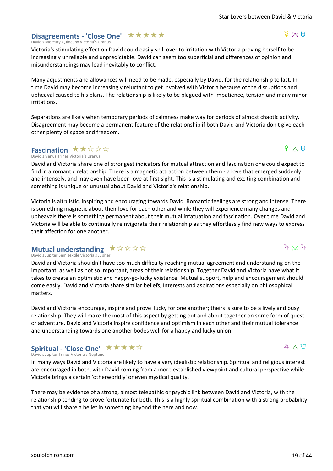#### [soulofchiron.com](https://soulofchiron.com/) 19 of 44

### Disagreements - 'Close One' **★ ★ ★ ★ ★**

David's Mercury Quincunx Victoria's Uranus

Victoria's stimulating effect on David could easily spill over to irritation with Victoria proving herself to be increasingly unreliable and unpredictable. David can seem too superficial and differences of opinion and misunderstandings may lead inevitably to conflict.

Many adjustments and allowances will need to be made, especially by David, for the relationship to last. In time David may become increasingly reluctant to get involved with Victoria because of the disruptions and upheaval caused to his plans. The relationship is likely to be plagued with impatience, tension and many minor irritations.

Separations are likely when temporary periods of calmness make way for periods of almost chaotic activity. Disagreement may become a permanent feature of the relationship if both David and Victoria don't give each other plenty of space and freedom.

### **Fascination ★★☆☆☆**

David's Venus Trines Victoria's Uranus

David and Victoria share one of strongest indicators for mutual attraction and fascination one could expect to find in a romantic relationship. There is a magnetic attraction between them - a love that emerged suddenly and intensely, and may even have been love at first sight. This is a stimulating and exciting combination and something is unique or unusual about David and Victoria's relationship.

Victoria is altruistic, inspiring and encouraging towards David. Romantic feelings are strong and intense. There is something magnetic about their love for each other and while they will experience many changes and upheavals there is something permanent about their mutual infatuation and fascination. Over time David and Victoria will be able to continually reinvigorate their relationship as they effortlessly find new ways to express their affection for one another.

### **Mutual understanding**  $\star \; \star \; \star \; \star \; \star$

David's Jupiter Semisextile Victoria's Jupiter

David and Victoria shouldn't have too much difficulty reaching mutual agreement and understanding on the important, as well as not so important, areas of their relationship. Together David and Victoria have what it takes to create an optimistic and happy-go-lucky existence. Mutual support, help and encouragement should come easily. David and Victoria share similar beliefs, interests and aspirations especially on philosophical matters.

David and Victoria encourage, inspire and prove lucky for one another; theirs is sure to be a lively and busy relationship. They will make the most of this aspect by getting out and about together on some form of quest or adventure. David and Victoria inspire confidence and optimism in each other and their mutual tolerance and understanding towards one another bodes well for a happy and lucky union.

#### David's Jupiter Trines Victoria's Neptune **Spiritual - 'Close One'** ★ ★ ★ ★ ☆

In many ways David and Victoria are likely to have a very idealistic relationship. Spiritual and religious interest are encouraged in both, with David coming from a more established viewpoint and cultural perspective while Victoria brings a certain 'otherworldly' or even mystical quality.

There may be evidence of a strong, almost telepathic or psychic link between David and Victoria, with the relationship tending to prove fortunate for both. This is a highly spiritual combination with a strong probability that you will share a belief in something beyond the here and now.

# $4 \wedge \Psi$

### 우  $\Delta$  냈

 $\frac{d}{dx}$   $\pi$  H

### $4 \vee 4$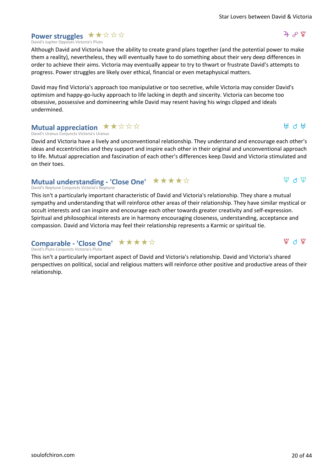$4 \times 12$ 

H d H

 $\Psi$  d  $\Psi$ 

 $\mathfrak{P}$  d  $\mathfrak{P}$ 

### **Power struggles**  $\star \star \star \star \star$

David's Jupiter Opposes Victoria's Pluto

Although David and Victoria have the ability to create grand plans together (and the potential power to make them a reality), nevertheless, they will eventually have to do something about their very deep differences in order to achieve their aims. Victoria may eventually appear to try to thwart or frustrate David's attempts to progress. Power struggles are likely over ethical, financial or even metaphysical matters.

David may find Victoria's approach too manipulative or too secretive, while Victoria may consider David's optimism and happy-go-lucky approach to life lacking in depth and sincerity. Victoria can become too obsessive, possessive and domineering while David may resent having his wings clipped and ideals undermined.

### **Mutual appreciation**  $\star \star \star \star \star \star$

David's Uranus Conjuncts Victoria's Uranus

David and Victoria have a lively and unconventional relationship. They understand and encourage each other's ideas and eccentricities and they support and inspire each other in their original and unconventional approach to life. Mutual appreciation and fascination of each other's differences keep David and Victoria stimulated and on their toes.

### **Mutual understanding - 'Close One' ★★★★☆**

#### David's Neptune Conjuncts Victoria's Neptune

This isn't a particularly important characteristic of David and Victoria's relationship. They share a mutual sympathy and understanding that will reinforce other areas of their relationship. They have similar mystical or occult interests and can inspire and encourage each other towards greater creativity and self-expression. Spiritual and philosophical interests are in harmony encouraging closeness, understanding, acceptance and compassion. David and Victoria may feel their relationship represents a Karmic or spiritual tie.

### **Comparable - 'Close One' ★★★★☆**

David's Pluto Conjuncts Victoria's Pluto

This isn't a particularly important aspect of David and Victoria's relationship. David and Victoria's shared perspectives on political, social and religious matters will reinforce other positive and productive areas of their relationship.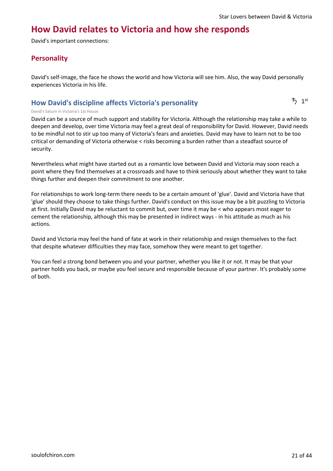### **How David relates to Victoria and how she responds**

David's important connections:

### **Personality**

David's self-image, the face he shows the world and how Victoria will see him. Also, the way David personally experiences Victoria in his life.

### **How David's discipline affects Victoria's personality**

 $\frac{1}{2}$  1st

#### David's Saturn in Victoria's 1st House

David can be a source of much support and stability for Victoria. Although the relationship may take a while to deepen and develop, over time Victoria may feel a great deal of responsibility for David. However, David needs to be mindful not to stir up too many of Victoria's fears and anxieties. David may have to learn not to be too critical or demanding of Victoria otherwise < risks becoming a burden rather than a steadfast source of security.

Nevertheless what might have started out as a romantic love between David and Victoria may soon reach a point where they find themselves at a crossroads and have to think seriously about whether they want to take things further and deepen their commitment to one another.

For relationships to work long-term there needs to be a certain amount of 'glue'. David and Victoria have that 'glue' should they choose to take things further. David's conduct on this issue may be a bit puzzling to Victoria at first. Initially David may be reluctant to commit but, over time it may be < who appears most eager to cement the relationship, although this may be presented in indirect ways - in his attitude as much as his actions.

David and Victoria may feel the hand of fate at work in their relationship and resign themselves to the fact that despite whatever difficulties they may face, somehow they were meant to get together.

You can feel a strong bond between you and your partner, whether you like it or not. It may be that your partner holds you back, or maybe you feel secure and responsible because of your partner. It's probably some of both.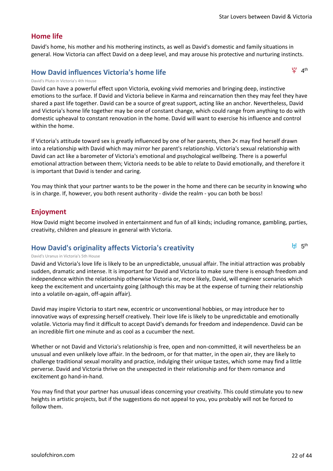$94$ <sup>th</sup>

 $H = 5<sup>th</sup>$ 

### **Home life**

David's home, his mother and his mothering instincts, as well as David's domestic and family situations in general. How Victoria can affect David on a deep level, and may arouse his protective and nurturing instincts.

### **How David influences Victoria's home life**

David's Pluto in Victoria's 4th House

David can have a powerful effect upon Victoria, evoking vivid memories and bringing deep, instinctive emotions to the surface. If David and Victoria believe in Karma and reincarnation then they may feel they have shared a past life together. David can be a source of great support, acting like an anchor. Nevertheless, David and Victoria's home life together may be one of constant change, which could range from anything to do with domestic upheaval to constant renovation in the home. David will want to exercise his influence and control within the home.

If Victoria's attitude toward sex is greatly influenced by one of her parents, then 2< may find herself drawn into a relationship with David which may mirror her parent's relationship. Victoria's sexual relationship with David can act like a barometer of Victoria's emotional and psychological wellbeing. There is a powerful emotional attraction between them; Victoria needs to be able to relate to David emotionally, and therefore it is important that David is tender and caring.

You may think that your partner wants to be the power in the home and there can be security in knowing who is in charge. If, however, you both resent authority - divide the realm - you can both be boss!

### **Enjoyment**

How David might become involved in entertainment and fun of all kinds; including romance, gambling, parties, creativity, children and pleasure in general with Victoria.

### **How David's originality affects Victoria's creativity**

#### David's Uranus in Victoria's 5th House

David and Victoria's love life is likely to be an unpredictable, unusual affair. The initial attraction was probably sudden, dramatic and intense. It is important for David and Victoria to make sure there is enough freedom and independence within the relationship otherwise Victoria or, more likely, David, will engineer scenarios which keep the excitement and uncertainty going (although this may be at the expense of turning their relationship into a volatile on-again, off-again affair).

David may inspire Victoria to start new, eccentric or unconventional hobbies, or may introduce her to innovative ways of expressing herself creatively. Their love life is likely to be unpredictable and emotionally volatile. Victoria may find it difficult to accept David's demands for freedom and independence. David can be an incredible flirt one minute and as cool as a cucumber the next.

Whether or not David and Victoria's relationship is free, open and non-committed, it will nevertheless be an unusual and even unlikely love affair. In the bedroom, or for that matter, in the open air, they are likely to challenge traditional sexual morality and practice, indulging their unique tastes, which some may find a little perverse. David and Victoria thrive on the unexpected in their relationship and for them romance and excitement go hand-in-hand.

You may find that your partner has unusual ideas concerning your creativity. This could stimulate you to new heights in artistic projects, but if the suggestions do not appeal to you, you probably will not be forced to follow them.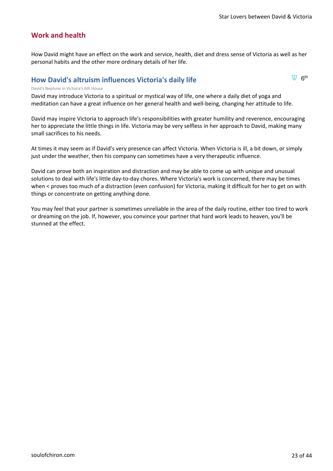$\Psi$  6<sup>th</sup>

### **Work and health**

How David might have an effect on the work and service, health, diet and dress sense of Victoria as well as her personal habits and the other more ordinary details of her life.

### **How David's altruism influences Victoria's daily life**

#### David's Neptune in Victoria's 6th House

David may introduce Victoria to a spiritual or mystical way of life, one where a daily diet of yoga and meditation can have a great influence on her general health and well-being, changing her attitude to life.

David may inspire Victoria to approach life's responsibilities with greater humility and reverence, encouraging her to appreciate the little things in life. Victoria may be very selfless in her approach to David, making many small sacrifices to his needs.

At times it may seem as if David's very presence can affect Victoria. When Victoria is ill, a bit down, or simply just under the weather, then his company can sometimes have a very therapeutic influence.

David can prove both an inspiration and distraction and may be able to come up with unique and unusual solutions to deal with life's little day-to-day chores. Where Victoria's work is concerned, there may be times when < proves too much of a distraction (even confusion) for Victoria, making it difficult for her to get on with things or concentrate on getting anything done.

You may feel that your partner is sometimes unreliable in the area of the daily routine, either too tired to work or dreaming on the job. If, however, you convince your partner that hard work leads to heaven, you'll be stunned at the effect.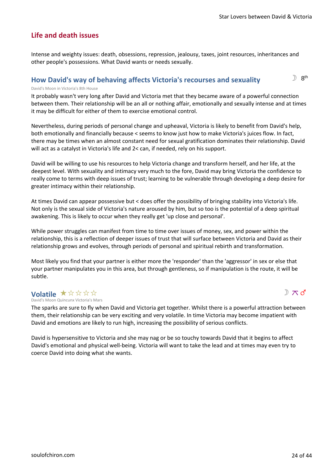$\mathbb{R}$  8<sup>th</sup>

### **Life and death issues**

Intense and weighty issues: death, obsessions, repression, jealousy, taxes, joint resources, inheritances and other people's possessions. What David wants or needs sexually.

### **How David's way of behaving affects Victoria's recourses and sexuality**

David's Moon in Victoria's 8th House

It probably wasn't very long after David and Victoria met that they became aware of a powerful connection between them. Their relationship will be an all or nothing affair, emotionally and sexually intense and at times it may be difficult for either of them to exercise emotional control.

Nevertheless, during periods of personal change and upheaval, Victoria is likely to benefit from David's help, both emotionally and financially because < seems to know just how to make Victoria's juices flow. In fact, there may be times when an almost constant need for sexual gratification dominates their relationship. David will act as a catalyst in Victoria's life and 2< can, if needed, rely on his support.

David will be willing to use his resources to help Victoria change and transform herself, and her life, at the deepest level. With sexuality and intimacy very much to the fore, David may bring Victoria the confidence to really come to terms with deep issues of trust; learning to be vulnerable through developing a deep desire for greater intimacy within their relationship.

At times David can appear possessive but < does offer the possibility of bringing stability into Victoria's life. Not only is the sexual side of Victoria's nature aroused by him, but so too is the potential of a deep spiritual awakening. This is likely to occur when they really get 'up close and personal'.

While power struggles can manifest from time to time over issues of money, sex, and power within the relationship, this is a reflection of deeper issues of trust that will surface between Victoria and David as their relationship grows and evolves, through periods of personal and spiritual rebirth and transformation.

Most likely you find that your partner is either more the 'responder' than the 'aggressor' in sex or else that your partner manipulates you in this area, but through gentleness, so if manipulation is the route, it will be subtle.

### **Volatile ★☆☆☆☆**

 $\mathbb{D} \times d$ 

David's Moon Quincunx Victoria's Mars

The sparks are sure to fly when David and Victoria get together. Whilst there is a powerful attraction between them, their relationship can be very exciting and very volatile. In time Victoria may become impatient with David and emotions are likely to run high, increasing the possibility of serious conflicts.

David is hypersensitive to Victoria and she may nag or be so touchy towards David that it begins to affect David's emotional and physical well-being. Victoria will want to take the lead and at times may even try to coerce David into doing what she wants.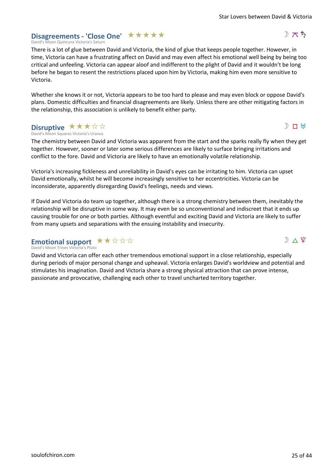D  $\pi$  5

 $D \Pi$  H

 $D \wedge 4$ 

### Disagreements - 'Close One' **★ ★ ★ ★ ★**

David's Moon Quincunx Victoria's Saturn

There is a lot of glue between David and Victoria, the kind of glue that keeps people together. However, in time, Victoria can have a frustrating affect on David and may even affect his emotional well being by being too critical and unfeeling. Victoria can appear aloof and indifferent to the plight of David and it wouldn't be long before he began to resent the restrictions placed upon him by Victoria, making him even more sensitive to Victoria.

Whether she knows it or not, Victoria appears to be too hard to please and may even block or oppose David's plans. Domestic difficulties and financial disagreements are likely. Unless there are other mitigating factors in the relationship, this association is unlikely to benefit either party.

#### David's Moon Squares Victoria's Uranus **Disruptive \*\*\*\***

The chemistry between David and Victoria was apparent from the start and the sparks really fly when they get together. However, sooner or later some serious differences are likely to surface bringing irritations and conflict to the fore. David and Victoria are likely to have an emotionally volatile relationship.

Victoria's increasing fickleness and unreliability in David's eyes can be irritating to him. Victoria can upset David emotionally, whilst he will become increasingly sensitive to her eccentricities. Victoria can be inconsiderate, apparently disregarding David's feelings, needs and views.

If David and Victoria do team up together, although there is a strong chemistry between them, inevitably the relationship will be disruptive in some way. It may even be so unconventional and indiscreet that it ends up causing trouble for one or both parties. Although eventful and exciting David and Victoria are likely to suffer from many upsets and separations with the ensuing instability and insecurity.

### Emotional support  $\star\star\!\star\!\star\!\star\!\star$

David's Moon Trines Victoria's Pluto

David and Victoria can offer each other tremendous emotional support in a close relationship, especially during periods of major personal change and upheaval. Victoria enlarges David's worldview and potential and stimulates his imagination. David and Victoria share a strong physical attraction that can prove intense, passionate and provocative, challenging each other to travel uncharted territory together.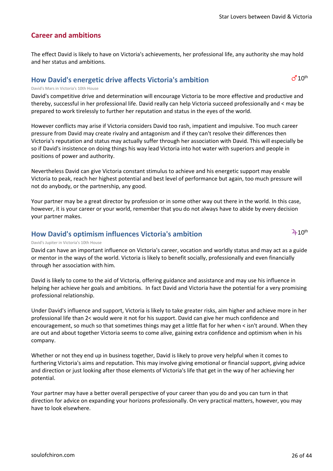### **Career and ambitions**

The effect David is likely to have on Victoria's achievements, her professional life, any authority she may hold and her status and ambitions.

### **How David's energetic drive affects Victoria's ambition**

#### David's Mars in Victoria's 10th House

David's competitive drive and determination will encourage Victoria to be more effective and productive and thereby, successful in her professional life. David really can help Victoria succeed professionally and < may be prepared to work tirelessly to further her reputation and status in the eyes of the world.

However conflicts may arise if Victoria considers David too rash, impatient and impulsive. Too much career pressure from David may create rivalry and antagonism and if they can't resolve their differences then Victoria's reputation and status may actually suffer through her association with David. This will especially be so if David's insistence on doing things his way lead Victoria into hot water with superiors and people in positions of power and authority.

Nevertheless David can give Victoria constant stimulus to achieve and his energetic support may enable Victoria to peak, reach her highest potential and best level of performance but again, too much pressure will not do anybody, or the partnership, any good.

Your partner may be a great director by profession or in some other way out there in the world. In this case, however, it is your career or your world, remember that you do not always have to abide by every decision your partner makes.

### **How David's optimism influences Victoria's ambition**

 $2+10^{th}$ 

 $d^110^{th}$ 

#### David's Jupiter in Victoria's 10th House

David can have an important influence on Victoria's career, vocation and worldly status and may act as a guide or mentor in the ways of the world. Victoria is likely to benefit socially, professionally and even financially through her association with him.

David is likely to come to the aid of Victoria, offering guidance and assistance and may use his influence in helping her achieve her goals and ambitions. In fact David and Victoria have the potential for a very promising professional relationship.

Under David's influence and support, Victoria is likely to take greater risks, aim higher and achieve more in her professional life than 2< would were it not for his support. David can give her much confidence and encouragement, so much so that sometimes things may get a little flat for her when < isn't around. When they are out and about together Victoria seems to come alive, gaining extra confidence and optimism when in his company.

Whether or not they end up in business together, David is likely to prove very helpful when it comes to furthering Victoria's aims and reputation. This may involve giving emotional or financial support, giving advice and direction or just looking after those elements of Victoria's life that get in the way of her achieving her potential.

Your partner may have a better overall perspective of your career than you do and you can turn in that direction for advice on expanding your horizons professionally. On very practical matters, however, you may have to look elsewhere.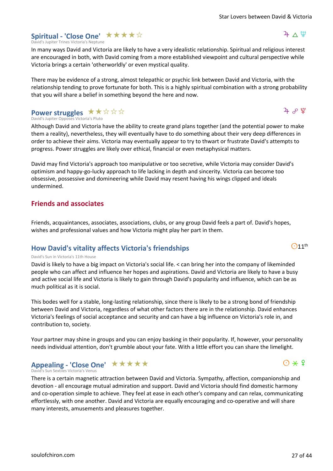### [soulofchiron.com](https://soulofchiron.com/) 27 of 44

#### David's Jupiter Trines Victoria's Neptune **Spiritual - 'Close One' ★★★★**☆

In many ways David and Victoria are likely to have a very idealistic relationship. Spiritual and religious interest are encouraged in both, with David coming from a more established viewpoint and cultural perspective while Victoria brings a certain 'otherworldly' or even mystical quality.

There may be evidence of a strong, almost telepathic or psychic link between David and Victoria, with the relationship tending to prove fortunate for both. This is a highly spiritual combination with a strong probability that you will share a belief in something beyond the here and now.

#### David's Jupiter Opposes Victoria's Pluto **Power struggles** ★★☆☆☆

Although David and Victoria have the ability to create grand plans together (and the potential power to make them a reality), nevertheless, they will eventually have to do something about their very deep differences in order to achieve their aims. Victoria may eventually appear to try to thwart or frustrate David's attempts to progress. Power struggles are likely over ethical, financial or even metaphysical matters.

David may find Victoria's approach too manipulative or too secretive, while Victoria may consider David's optimism and happy-go-lucky approach to life lacking in depth and sincerity. Victoria can become too obsessive, possessive and domineering while David may resent having his wings clipped and ideals undermined.

### **Friends and associates**

Friends, acquaintances, associates, associations, clubs, or any group David feels a part of. David's hopes, wishes and professional values and how Victoria might play her part in them.

### **How David's vitality affects Victoria's friendships**

### David's Sun in Victoria's 11th House

David is likely to have a big impact on Victoria's social life. < can bring her into the company of likeminded people who can affect and influence her hopes and aspirations. David and Victoria are likely to have a busy and active social life and Victoria is likely to gain through David's popularity and influence, which can be as much political as it is social.

This bodes well for a stable, long-lasting relationship, since there is likely to be a strong bond of friendship between David and Victoria, regardless of what other factors there are in the relationship. David enhances Victoria's feelings of social acceptance and security and can have a big influence on Victoria's role in, and contribution to, society.

Your partner may shine in groups and you can enjoy basking in their popularity. If, however, your personality needs individual attention, don't grumble about your fate. With a little effort you can share the limelight.

### Appealing - 'Close One' \*\*\*\*\*

David's Sun Sextiles Victoria's Venus

There is a certain magnetic attraction between David and Victoria. Sympathy, affection, companionship and devotion - all encourage mutual admiration and support. David and Victoria should find domestic harmony and co-operation simple to achieve. They feel at ease in each other's company and can relax, communicating effortlessly, with one another. David and Victoria are equally encouraging and co-operative and will share many interests, amusements and pleasures together.





### ን ምሳ

 $4\Delta\Psi$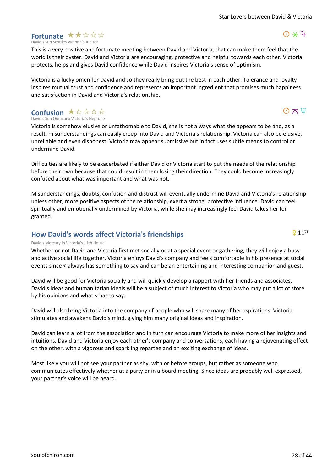### [soulofchiron.com](https://soulofchiron.com/) 28 of 44

#### David's Sun Sextiles Victoria's Jupiter **Fortunate ★★☆☆☆**

This is a very positive and fortunate meeting between David and Victoria, that can make them feel that the world is their oyster. David and Victoria are encouraging, protective and helpful towards each other. Victoria protects, helps and gives David confidence while David inspires Victoria's sense of optimism.

Victoria is a lucky omen for David and so they really bring out the best in each other. Tolerance and loyalty inspires mutual trust and confidence and represents an important ingredient that promises much happiness and satisfaction in David and Victoria's relationship.

#### David's Sun Quincunx Victoria's Neptune **Confusion ★☆☆☆☆**

Victoria is somehow elusive or unfathomable to David, she is not always what she appears to be and, as a result, misunderstandings can easily creep into David and Victoria's relationship. Victoria can also be elusive, unreliable and even dishonest. Victoria may appear submissive but in fact uses subtle means to control or undermine David.

Difficulties are likely to be exacerbated if either David or Victoria start to put the needs of the relationship before their own because that could result in them losing their direction. They could become increasingly confused about what was important and what was not.

Misunderstandings, doubts, confusion and distrust will eventually undermine David and Victoria's relationship unless other, more positive aspects of the relationship, exert a strong, protective influence. David can feel spiritually and emotionally undermined by Victoria, while she may increasingly feel David takes her for granted.

### **How David's words affect Victoria's friendships**

#### David's Mercury in Victoria's 11th House

Whether or not David and Victoria first met socially or at a special event or gathering, they will enjoy a busy and active social life together. Victoria enjoys David's company and feels comfortable in his presence at social events since < always has something to say and can be an entertaining and interesting companion and guest.

David will be good for Victoria socially and will quickly develop a rapport with her friends and associates. David's ideas and humanitarian ideals will be a subject of much interest to Victoria who may put a lot of store by his opinions and what < has to say.

David will also bring Victoria into the company of people who will share many of her aspirations. Victoria stimulates and awakens David's mind, giving him many original ideas and inspiration.

David can learn a lot from the association and in turn can encourage Victoria to make more of her insights and intuitions. David and Victoria enjoy each other's company and conversations, each having a rejuvenating effect on the other, with a vigorous and sparkling repartee and an exciting exchange of ideas.

Most likely you will not see your partner as shy, with or before groups, but rather as someone who communicates effectively whether at a party or in a board meeting. Since ideas are probably well expressed, your partner's voice will be heard.

 $\Omega \times \mathfrak{P}$ 

 $\odot$   $\star$  4

#### $\overline{Q}$  11<sup>th</sup>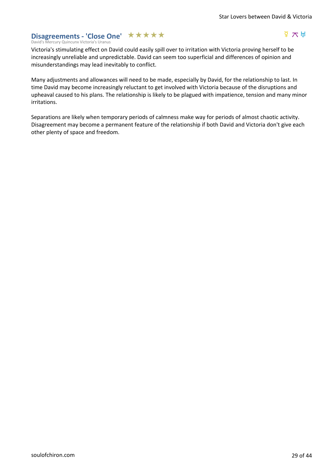### Disagreements - 'Close One' ★★★★★

### $\frac{d}{dx}$   $\frac{d}{dx}$

David's Mercury Quincunx Victoria's Uranus

Victoria's stimulating effect on David could easily spill over to irritation with Victoria proving herself to be increasingly unreliable and unpredictable. David can seem too superficial and differences of opinion and misunderstandings may lead inevitably to conflict.

Many adjustments and allowances will need to be made, especially by David, for the relationship to last. In time David may become increasingly reluctant to get involved with Victoria because of the disruptions and upheaval caused to his plans. The relationship is likely to be plagued with impatience, tension and many minor irritations.

Separations are likely when temporary periods of calmness make way for periods of almost chaotic activity. Disagreement may become a permanent feature of the relationship if both David and Victoria don't give each other plenty of space and freedom.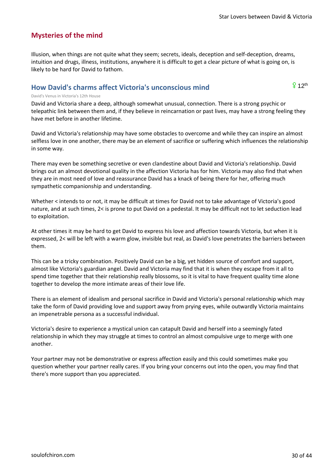### **Mysteries of the mind**

Illusion, when things are not quite what they seem; secrets, ideals, deception and self-deception, dreams, intuition and drugs, illness, institutions, anywhere it is difficult to get a clear picture of what is going on, is likely to be hard for David to fathom.

### **How David's charms affect Victoria's unconscious mind**

 $912$ <sup>th</sup>

#### David's Venus in Victoria's 12th House

David and Victoria share a deep, although somewhat unusual, connection. There is a strong psychic or telepathic link between them and, if they believe in reincarnation or past lives, may have a strong feeling they have met before in another lifetime.

David and Victoria's relationship may have some obstacles to overcome and while they can inspire an almost selfless love in one another, there may be an element of sacrifice or suffering which influences the relationship in some way.

There may even be something secretive or even clandestine about David and Victoria's relationship. David brings out an almost devotional quality in the affection Victoria has for him. Victoria may also find that when they are in most need of love and reassurance David has a knack of being there for her, offering much sympathetic companionship and understanding.

Whether < intends to or not, it may be difficult at times for David not to take advantage of Victoria's good nature, and at such times, 2< is prone to put David on a pedestal. It may be difficult not to let seduction lead to exploitation.

At other times it may be hard to get David to express his love and affection towards Victoria, but when it is expressed, 2< will be left with a warm glow, invisible but real, as David's love penetrates the barriers between them.

This can be a tricky combination. Positively David can be a big, yet hidden source of comfort and support, almost like Victoria's guardian angel. David and Victoria may find that it is when they escape from it all to spend time together that their relationship really blossoms, so it is vital to have frequent quality time alone together to develop the more intimate areas of their love life.

There is an element of idealism and personal sacrifice in David and Victoria's personal relationship which may take the form of David providing love and support away from prying eyes, while outwardly Victoria maintains an impenetrable persona as a successful individual.

Victoria's desire to experience a mystical union can catapult David and herself into a seemingly fated relationship in which they may struggle at times to control an almost compulsive urge to merge with one another.

Your partner may not be demonstrative or express affection easily and this could sometimes make you question whether your partner really cares. If you bring your concerns out into the open, you may find that there's more support than you appreciated.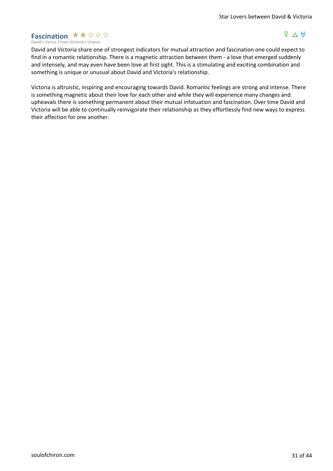#### David's Venus Trines Victoria's Uranus **Fascination**  $\star \star \star \star \star \star$

### $P \wedge H$

David and Victoria share one of strongest indicators for mutual attraction and fascination one could expect to find in a romantic relationship. There is a magnetic attraction between them - a love that emerged suddenly and intensely, and may even have been love at first sight. This is a stimulating and exciting combination and something is unique or unusual about David and Victoria's relationship.

Victoria is altruistic, inspiring and encouraging towards David. Romantic feelings are strong and intense. There is something magnetic about their love for each other and while they will experience many changes and upheavals there is something permanent about their mutual infatuation and fascination. Over time David and Victoria will be able to continually reinvigorate their relationship as they effortlessly find new ways to express their affection for one another.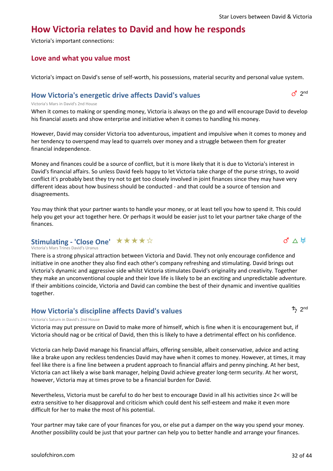### **How Victoria relates to David and how he responds**

Victoria's important connections:

### **Love and what you value most**

Victoria's impact on David's sense of self-worth, his possessions, material security and personal value system.

### **How Victoria's energetic drive affects David's values**

#### Victoria's Mars in David's 2nd House

When it comes to making or spending money, Victoria is always on the go and will encourage David to develop his financial assets and show enterprise and initiative when it comes to handling his money.

However, David may consider Victoria too adventurous, impatient and impulsive when it comes to money and her tendency to overspend may lead to quarrels over money and a struggle between them for greater financial independence.

Money and finances could be a source of conflict, but it is more likely that it is due to Victoria's interest in David's financial affairs. So unless David feels happy to let Victoria take charge of the purse strings, to avoid conflict it's probably best they try not to get too closely involved in joint finances since they may have very different ideas about how business should be conducted - and that could be a source of tension and disagreements.

You may think that your partner wants to handle your money, or at least tell you how to spend it. This could help you get your act together here. Or perhaps it would be easier just to let your partner take charge of the finances.

### **Stimulating - 'Close One' ★★★★**☆

Victoria's Mars Trines David's Uranus

There is a strong physical attraction between Victoria and David. They not only encourage confidence and initiative in one another they also find each other's company refreshing and stimulating. David brings out Victoria's dynamic and aggressive side whilst Victoria stimulates David's originality and creativity. Together they make an unconventional couple and their love life is likely to be an exciting and unpredictable adventure. If their ambitions coincide, Victoria and David can combine the best of their dynamic and inventive qualities together.

### **How Victoria's discipline affects David's values**

#### Victoria's Saturn in David's 2nd House

Victoria may put pressure on David to make more of himself, which is fine when it is encouragement but, if Victoria should nag or be critical of David, then this is likely to have a detrimental effect on his confidence.

Victoria can help David manage his financial affairs, offering sensible, albeit conservative, advice and acting like a brake upon any reckless tendencies David may have when it comes to money. However, at times, it may feel like there is a fine line between a prudent approach to financial affairs and penny pinching. At her best, Victoria can act likely a wise bank manager, helping David achieve greater long-term security. At her worst, however, Victoria may at times prove to be a financial burden for David.

Nevertheless, Victoria must be careful to do her best to encourage David in all his activities since 2< will be extra sensitive to her disapproval and criticism which could dent his self-esteem and make it even more difficult for her to make the most of his potential.

Your partner may take care of your finances for you, or else put a damper on the way you spend your money. Another possibility could be just that your partner can help you to better handle and arrange your finances.



 $d \wedge H$ 

 $d^2$  2<sup>nd</sup>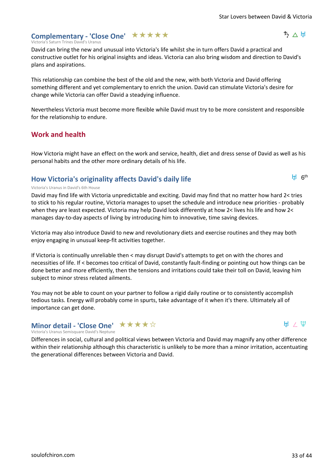ちへ出

6th K

### Complementary - 'Close One' **★ ★ ★ ★ ★**

#### Victoria's Saturn Trines David's Uranus

David can bring the new and unusual into Victoria's life whilst she in turn offers David a practical and constructive outlet for his original insights and ideas. Victoria can also bring wisdom and direction to David's plans and aspirations.

This relationship can combine the best of the old and the new, with both Victoria and David offering something different and yet complementary to enrich the union. David can stimulate Victoria's desire for change while Victoria can offer David a steadying influence.

Nevertheless Victoria must become more flexible while David must try to be more consistent and responsible for the relationship to endure.

### **Work and health**

How Victoria might have an effect on the work and service, health, diet and dress sense of David as well as his personal habits and the other more ordinary details of his life.

### **How Victoria's originality affects David's daily life**

#### Victoria's Uranus in David's 6th House

David may find life with Victoria unpredictable and exciting. David may find that no matter how hard 2< tries to stick to his regular routine, Victoria manages to upset the schedule and introduce new priorities - probably when they are least expected. Victoria may help David look differently at how 2< lives his life and how 2< manages day-to-day aspects of living by introducing him to innovative, time saving devices.

Victoria may also introduce David to new and revolutionary diets and exercise routines and they may both enjoy engaging in unusual keep-fit activities together.

If Victoria is continually unreliable then < may disrupt David's attempts to get on with the chores and necessities of life. If < becomes too critical of David, constantly fault-finding or pointing out how things can be done better and more efficiently, then the tensions and irritations could take their toll on David, leaving him subject to minor stress related ailments.

You may not be able to count on your partner to follow a rigid daily routine or to consistently accomplish tedious tasks. Energy will probably come in spurts, take advantage of it when it's there. Ultimately all of importance can get done.

### **Minor detail - 'Close One'** ★★★★☆

#### $H \times \Psi$

#### Victoria's Uranus Semisquare David's Neptune

Differences in social, cultural and political views between Victoria and David may magnify any other difference within their relationship although this characteristic is unlikely to be more than a minor irritation, accentuating the generational differences between Victoria and David.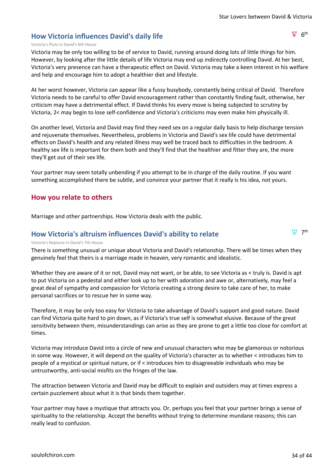### **How Victoria influences David's daily life**

 $94$   $6<sup>th</sup>$ 

(1) 7th

#### Victoria's Pluto in David's 6th House

Victoria may be only too willing to be of service to David, running around doing lots of little things for him. However, by looking after the little details of life Victoria may end up indirectly controlling David. At her best, Victoria's very presence can have a therapeutic effect on David. Victoria may take a keen interest in his welfare and help and encourage him to adopt a healthier diet and lifestyle.

At her worst however, Victoria can appear like a fussy busybody, constantly being critical of David. Therefore Victoria needs to be careful to offer David encouragement rather than constantly finding fault, otherwise, her criticism may have a detrimental effect. If David thinks his every move is being subjected to scrutiny by Victoria, 2< may begin to lose self-confidence and Victoria's criticisms may even make him physically ill.

On another level, Victoria and David may find they need sex on a regular daily basis to help discharge tension and rejuvenate themselves. Nevertheless, problems in Victoria and David's sex life could have detrimental effects on David's health and any related illness may well be traced back to difficulties in the bedroom. A healthy sex life is important for them both and they'll find that the healthier and fitter they are, the more they'll get out of their sex life.

Your partner may seem totally unbending if you attempt to be in charge of the daily routine. If you want something accomplished there be subtle, and convince your partner that it really is his idea, not yours.

### **How you relate to others**

Marriage and other partnerships. How Victoria deals with the public.

### **How Victoria's altruism influences David's ability to relate**

#### Victoria's Neptune in David's 7th House

There is something unusual or unique about Victoria and David's relationship. There will be times when they genuinely feel that theirs is a marriage made in heaven, very romantic and idealistic.

Whether they are aware of it or not, David may not want, or be able, to see Victoria as < truly is. David is apt to put Victoria on a pedestal and either look up to her with adoration and awe or, alternatively, may feel a great deal of sympathy and compassion for Victoria creating a strong desire to take care of her, to make personal sacrifices or to rescue her in some way.

Therefore, it may be only too easy for Victoria to take advantage of David's support and good nature. David can find Victoria quite hard to pin down, as if Victoria's true self is somewhat elusive. Because of the great sensitivity between them, misunderstandings can arise as they are prone to get a little too close for comfort at times.

Victoria may introduce David into a circle of new and unusual characters who may be glamorous or notorious in some way. However, it will depend on the quality of Victoria's character as to whether < introduces him to people of a mystical or spiritual nature, or if < introduces him to disagreeable individuals who may be untrustworthy, anti-social misfits on the fringes of the law.

The attraction between Victoria and David may be difficult to explain and outsiders may at times express a certain puzzlement about what it is that binds them together.

Your partner may have a mystique that attracts you. Or, perhaps you feel that your partner brings a sense of spirituality to the relationship. Accept the benefits without trying to determine mundane reasons; this can really lead to confusion.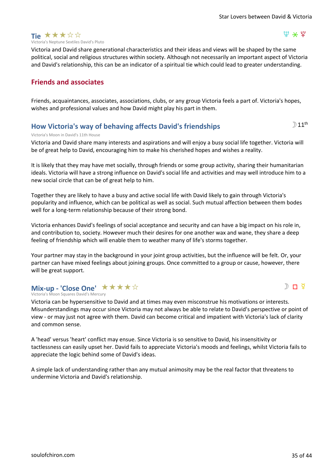

#### $\Psi \times \Psi$

Victoria and David share generational characteristics and their ideas and views will be shaped by the same political, social and religious structures within society. Although not necessarily an important aspect of Victoria and David's relationship, this can be an indicator of a spiritual tie which could lead to greater understanding.

### **Friends and associates**

Friends, acquaintances, associates, associations, clubs, or any group Victoria feels a part of. Victoria's hopes, wishes and professional values and how David might play his part in them.

### **How Victoria's way of behaving affects David's friendships**

### $D$  11<sup>th</sup>

 $D \Pi$   $\Phi$ 

#### Victoria's Moon in David's 11th House

Victoria and David share many interests and aspirations and will enjoy a busy social life together. Victoria will be of great help to David, encouraging him to make his cherished hopes and wishes a reality.

It is likely that they may have met socially, through friends or some group activity, sharing their humanitarian ideals. Victoria will have a strong influence on David's social life and activities and may well introduce him to a new social circle that can be of great help to him.

Together they are likely to have a busy and active social life with David likely to gain through Victoria's popularity and influence, which can be political as well as social. Such mutual affection between them bodes well for a long-term relationship because of their strong bond.

Victoria enhances David's feelings of social acceptance and security and can have a big impact on his role in, and contribution to, society. However much their desires for one another wax and wane, they share a deep feeling of friendship which will enable them to weather many of life's storms together.

Your partner may stay in the background in your joint group activities, but the influence will be felt. Or, your partner can have mixed feelings about joining groups. Once committed to a group or cause, however, there will be great support.

### **Mix-up - 'Close One' ★★★★**☆

Victoria's Moon Squares David's Mercury

Victoria can be hypersensitive to David and at times may even misconstrue his motivations or interests. Misunderstandings may occur since Victoria may not always be able to relate to David's perspective or point of view - or may just not agree with them. David can become critical and impatient with Victoria's lack of clarity and common sense.

A 'head' versus 'heart' conflict may ensue. Since Victoria is so sensitive to David, his insensitivity or tactlessness can easily upset her. David fails to appreciate Victoria's moods and feelings, whilst Victoria fails to appreciate the logic behind some of David's ideas.

A simple lack of understanding rather than any mutual animosity may be the real factor that threatens to undermine Victoria and David's relationship.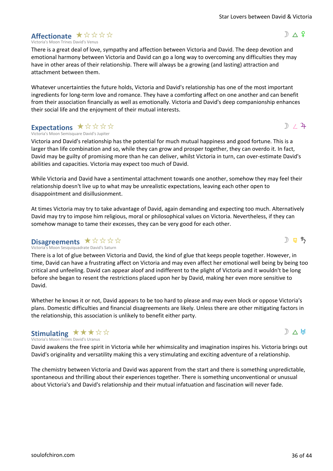### **Affectionate** ★☆☆☆☆

Victoria's Moon Trines David's Venus

There is a great deal of love, sympathy and affection between Victoria and David. The deep devotion and emotional harmony between Victoria and David can go a long way to overcoming any difficulties they may have in other areas of their relationship. There will always be a growing (and lasting) attraction and attachment between them.

Whatever uncertainties the future holds, Victoria and David's relationship has one of the most important ingredients for long-term love and romance. They have a comforting affect on one another and can benefit from their association financially as well as emotionally. Victoria and David's deep companionship enhances their social life and the enjoyment of their mutual interests.

### **Expectations ★☆☆☆☆**

Victoria's Moon Semisquare David's Jupiter

Victoria and David's relationship has the potential for much mutual happiness and good fortune. This is a larger than life combination and so, while they can grow and prosper together, they can overdo it. In fact, David may be guilty of promising more than he can deliver, whilst Victoria in turn, can over-estimate David's abilities and capacities. Victoria may expect too much of David.

While Victoria and David have a sentimental attachment towards one another, somehow they may feel their relationship doesn't live up to what may be unrealistic expectations, leaving each other open to disappointment and disillusionment.

At times Victoria may try to take advantage of David, again demanding and expecting too much. Alternatively David may try to impose him religious, moral or philosophical values on Victoria. Nevertheless, if they can somehow manage to tame their excesses, they can be very good for each other.

#### Victoria's Moon Sesquiquadrate David's Saturn **Disagreements**  $\star$  **x** x x x x

There is a lot of glue between Victoria and David, the kind of glue that keeps people together. However, in time, David can have a frustrating affect on Victoria and may even affect her emotional well being by being too critical and unfeeling. David can appear aloof and indifferent to the plight of Victoria and it wouldn't be long before she began to resent the restrictions placed upon her by David, making her even more sensitive to David.

Whether he knows it or not, David appears to be too hard to please and may even block or oppose Victoria's plans. Domestic difficulties and financial disagreements are likely. Unless there are other mitigating factors in the relationship, this association is unlikely to benefit either party.

#### Victoria's Moon Trines David's Uranus **Stimulating** ★★★☆☆

David awakens the free spirit in Victoria while her whimsicality and imagination inspires his. Victoria brings out David's originality and versatility making this a very stimulating and exciting adventure of a relationship.

The chemistry between Victoria and David was apparent from the start and there is something unpredictable, spontaneous and thrilling about their experiences together. There is something unconventional or unusual about Victoria's and David's relationship and their mutual infatuation and fascination will never fade.



》 □ ち



 $D \wedge 9$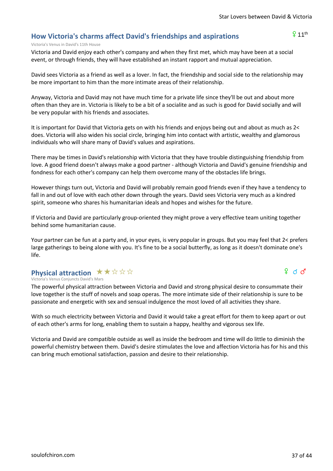$911<sup>th</sup>$ 

### **How Victoria's charms affect David's friendships and aspirations**

#### Victoria's Venus in David's 11th House

Victoria and David enjoy each other's company and when they first met, which may have been at a social event, or through friends, they will have established an instant rapport and mutual appreciation.

David sees Victoria as a friend as well as a lover. In fact, the friendship and social side to the relationship may be more important to him than the more intimate areas of their relationship.

Anyway, Victoria and David may not have much time for a private life since they'll be out and about more often than they are in. Victoria is likely to be a bit of a socialite and as such is good for David socially and will be very popular with his friends and associates.

It is important for David that Victoria gets on with his friends and enjoys being out and about as much as 2< does. Victoria will also widen his social circle, bringing him into contact with artistic, wealthy and glamorous individuals who will share many of David's values and aspirations.

There may be times in David's relationship with Victoria that they have trouble distinguishing friendship from love. A good friend doesn't always make a good partner - although Victoria and David's genuine friendship and fondness for each other's company can help them overcome many of the obstacles life brings.

However things turn out, Victoria and David will probably remain good friends even if they have a tendency to fall in and out of love with each other down through the years. David sees Victoria very much as a kindred spirit, someone who shares his humanitarian ideals and hopes and wishes for the future.

If Victoria and David are particularly group-oriented they might prove a very effective team uniting together behind some humanitarian cause.

Your partner can be fun at a party and, in your eyes, is very popular in groups. But you may feel that 2< prefers large gatherings to being alone with you. It's fine to be a social butterfly, as long as it doesn't dominate one's life.

### **Physical attraction ★★☆☆☆**

#### Victoria's Venus Conjuncts David's Mars

The powerful physical attraction between Victoria and David and strong physical desire to consummate their love together is the stuff of novels and soap operas. The more intimate side of their relationship is sure to be passionate and energetic with sex and sensual indulgence the most loved of all activities they share.

With so much electricity between Victoria and David it would take a great effort for them to keep apart or out of each other's arms for long, enabling them to sustain a happy, healthy and vigorous sex life.

Victoria and David are compatible outside as well as inside the bedroom and time will do little to diminish the powerful chemistry between them. David's desire stimulates the love and affection Victoria has for his and this can bring much emotional satisfaction, passion and desire to their relationship.

 $9$  d  $3$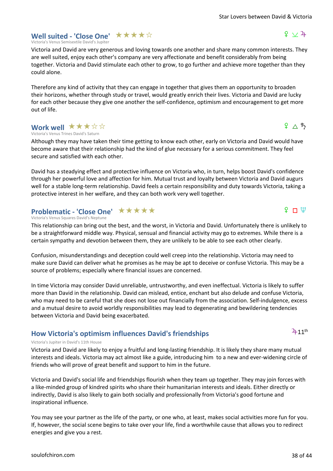### **Well suited - 'Close One' ★★★★**☆

Victoria's Venus Semisextile David's Jupiter

Victoria and David are very generous and loving towards one another and share many common interests. They are well suited, enjoy each other's company are very affectionate and benefit considerably from being together. Victoria and David stimulate each other to grow, to go further and achieve more together than they could alone.

Therefore any kind of activity that they can engage in together that gives them an opportunity to broaden their horizons, whether through study or travel, would greatly enrich their lives. Victoria and David are lucky for each other because they give one another the self-confidence, optimism and encouragement to get more out of life.

#### Victoria's Venus Trines David's Saturn **Work well ★★★☆☆**

Although they may have taken their time getting to know each other, early on Victoria and David would have become aware that their relationship had the kind of glue necessary for a serious commitment. They feel secure and satisfied with each other.

David has a steadying effect and protective influence on Victoria who, in turn, helps boost David's confidence through her powerful love and affection for him. Mutual trust and loyalty between Victoria and David augurs well for a stable long-term relationship. David feels a certain responsibility and duty towards Victoria, taking a protective interest in her welfare, and they can both work very well together.

### **Problematic - 'Close One' ★★★★★**

Victoria's Venus Squares David's Neptune

This relationship can bring out the best, and the worst, in Victoria and David. Unfortunately there is unlikely to be a straightforward middle way. Physical, sensual and financial activity may go to extremes. While there is a certain sympathy and devotion between them, they are unlikely to be able to see each other clearly.

Confusion, misunderstandings and deception could well creep into the relationship. Victoria may need to make sure David can deliver what he promises as he may be apt to deceive or confuse Victoria. This may be a source of problems; especially where financial issues are concerned.

In time Victoria may consider David unreliable, untrustworthy, and even ineffectual. Victoria is likely to suffer more than David in the relationship. David can mislead, entice, enchant but also delude and confuse Victoria, who may need to be careful that she does not lose out financially from the association. Self-indulgence, excess and a mutual desire to avoid worldly responsibilities may lead to degenerating and bewildering tendencies between Victoria and David being exacerbated.

### **How Victoria's optimism influences David's friendships**

#### Victoria's Jupiter in David's 11th House

Victoria and David are likely to enjoy a fruitful and long-lasting friendship. It is likely they share many mutual interests and ideals. Victoria may act almost like a guide, introducing him to a new and ever-widening circle of friends who will prove of great benefit and support to him in the future.

Victoria and David's social life and friendships flourish when they team up together. They may join forces with a like-minded group of kindred spirits who share their humanitarian interests and ideals. Either directly or indirectly, David is also likely to gain both socially and professionally from Victoria's good fortune and inspirational influence.

You may see your partner as the life of the party, or one who, at least, makes social activities more fun for you. If, however, the social scene begins to take over your life, find a worthwhile cause that allows you to redirect energies and give you a rest.

# $9 \wedge 5$

 $\Omega$  r  $\mathfrak{P}$ 

 $9 \vee 4$ 

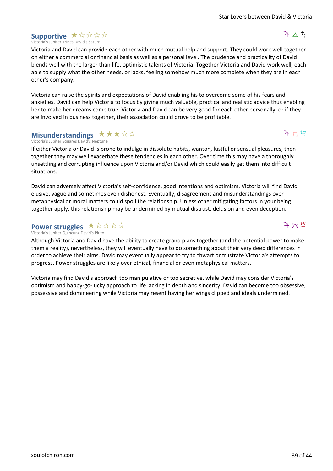#### Victoria's Jupiter Trines David's Saturn Supportive \* \* \* \* \*

Victoria and David can provide each other with much mutual help and support. They could work well together on either a commercial or financial basis as well as a personal level. The prudence and practicality of David blends well with the larger than life, optimistic talents of Victoria. Together Victoria and David work well, each able to supply what the other needs, or lacks, feeling somehow much more complete when they are in each other's company.

Victoria can raise the spirits and expectations of David enabling his to overcome some of his fears and anxieties. David can help Victoria to focus by giving much valuable, practical and realistic advice thus enabling her to make her dreams come true. Victoria and David can be very good for each other personally, or if they are involved in business together, their association could prove to be profitable.

### **Misunderstandings**  $\star \star \star \star \otimes \otimes$

Victoria's Jupiter Squares David's Neptune

If either Victoria or David is prone to indulge in dissolute habits, wanton, lustful or sensual pleasures, then together they may well exacerbate these tendencies in each other. Over time this may have a thoroughly unsettling and corrupting influence upon Victoria and/or David which could easily get them into difficult situations.

David can adversely affect Victoria's self-confidence, good intentions and optimism. Victoria will find David elusive, vague and sometimes even dishonest. Eventually, disagreement and misunderstandings over metaphysical or moral matters could spoil the relationship. Unless other mitigating factors in your being together apply, this relationship may be undermined by mutual distrust, delusion and even deception.

### **Power struggles** ★☆☆☆☆

Victoria's Jupiter Quincunx David's Pluto

Although Victoria and David have the ability to create grand plans together (and the potential power to make them a reality), nevertheless, they will eventually have to do something about their very deep differences in order to achieve their aims. David may eventually appear to try to thwart or frustrate Victoria's attempts to progress. Power struggles are likely over ethical, financial or even metaphysical matters.

Victoria may find David's approach too manipulative or too secretive, while David may consider Victoria's optimism and happy-go-lucky approach to life lacking in depth and sincerity. David can become too obsessive, possessive and domineering while Victoria may resent having her wings clipped and ideals undermined.



 $4 \pi$   $4$ 

 $\mathfrak{P} \sqcap \mathfrak{P}$ 

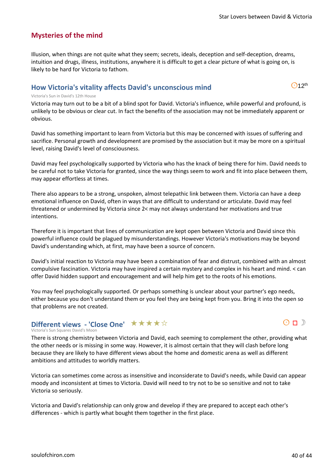### **Mysteries of the mind**

Illusion, when things are not quite what they seem; secrets, ideals, deception and self-deception, dreams, intuition and drugs, illness, institutions, anywhere it is difficult to get a clear picture of what is going on, is likely to be hard for Victoria to fathom.

### **How Victoria's vitality affects David's unconscious mind**

 $O$ 12<sup>th</sup>

#### Victoria's Sun in David's 12th House

Victoria may turn out to be a bit of a blind spot for David. Victoria's influence, while powerful and profound, is unlikely to be obvious or clear cut. In fact the benefits of the association may not be immediately apparent or obvious.

David has something important to learn from Victoria but this may be concerned with issues of suffering and sacrifice. Personal growth and development are promised by the association but it may be more on a spiritual level, raising David's level of consciousness.

David may feel psychologically supported by Victoria who has the knack of being there for him. David needs to be careful not to take Victoria for granted, since the way things seem to work and fit into place between them, may appear effortless at times.

There also appears to be a strong, unspoken, almost telepathic link between them. Victoria can have a deep emotional influence on David, often in ways that are difficult to understand or articulate. David may feel threatened or undermined by Victoria since 2< may not always understand her motivations and true intentions.

Therefore it is important that lines of communication are kept open between Victoria and David since this powerful influence could be plagued by misunderstandings. However Victoria's motivations may be beyond David's understanding which, at first, may have been a source of concern.

David's initial reaction to Victoria may have been a combination of fear and distrust, combined with an almost compulsive fascination. Victoria may have inspired a certain mystery and complex in his heart and mind. < can offer David hidden support and encouragement and will help him get to the roots of his emotions.

You may feel psychologically supported. Or perhaps something is unclear about your partner's ego needs, either because you don't understand them or you feel they are being kept from you. Bring it into the open so that problems are not created.

### **Different views - 'Close One' ★★★★☆**

#### Victoria's Sun Squares David's Moon

There is strong chemistry between Victoria and David, each seeming to complement the other, providing what the other needs or is missing in some way. However, it is almost certain that they will clash before long because they are likely to have different views about the home and domestic arena as well as different ambitions and attitudes to worldly matters.

Victoria can sometimes come across as insensitive and inconsiderate to David's needs, while David can appear moody and inconsistent at times to Victoria. David will need to try not to be so sensitive and not to take Victoria so seriously.

Victoria and David's relationship can only grow and develop if they are prepared to accept each other's differences - which is partly what bought them together in the first place.

 $O \cap D$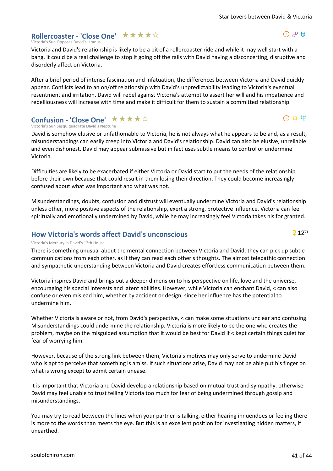### **Rollercoaster - 'Close One'** ★★★★☆

Victoria's Sun Opposes David's Uranus

Victoria and David's relationship is likely to be a bit of a rollercoaster ride and while it may well start with a bang, it could be a real challenge to stop it going off the rails with David having a disconcerting, disruptive and disorderly affect on Victoria.

After a brief period of intense fascination and infatuation, the differences between Victoria and David quickly appear. Conflicts lead to an on/off relationship with David's unpredictability leading to Victoria's eventual resentment and irritation. David will rebel against Victoria's attempt to assert her will and his impatience and rebelliousness will increase with time and make it difficult for them to sustain a committed relationship.

#### Victoria's Sun Sesquiquadrate David's Neptune **Confusion - 'Close One' ★★★★**☆

David is somehow elusive or unfathomable to Victoria, he is not always what he appears to be and, as a result, misunderstandings can easily creep into Victoria and David's relationship. David can also be elusive, unreliable and even dishonest. David may appear submissive but in fact uses subtle means to control or undermine Victoria.

Difficulties are likely to be exacerbated if either Victoria or David start to put the needs of the relationship before their own because that could result in them losing their direction. They could become increasingly confused about what was important and what was not.

Misunderstandings, doubts, confusion and distrust will eventually undermine Victoria and David's relationship unless other, more positive aspects of the relationship, exert a strong, protective influence. Victoria can feel spiritually and emotionally undermined by David, while he may increasingly feel Victoria takes his for granted.

### **How Victoria's words affect David's unconscious**

#### Victoria's Mercury in David's 12th House

There is something unusual about the mental connection between Victoria and David, they can pick up subtle communications from each other, as if they can read each other's thoughts. The almost telepathic connection and sympathetic understanding between Victoria and David creates effortless communication between them.

Victoria inspires David and brings out a deeper dimension to his perspective on life, love and the universe, encouraging his special interests and latent abilities. However, while Victoria can enchant David, < can also confuse or even mislead him, whether by accident or design, since her influence has the potential to undermine him.

Whether Victoria is aware or not, from David's perspective, < can make some situations unclear and confusing. Misunderstandings could undermine the relationship. Victoria is more likely to be the one who creates the problem, maybe on the misguided assumption that it would be best for David if < kept certain things quiet for fear of worrying him.

However, because of the strong link between them, Victoria's motives may only serve to undermine David who is apt to perceive that something is amiss. If such situations arise, David may not be able put his finger on what is wrong except to admit certain unease.

It is important that Victoria and David develop a relationship based on mutual trust and sympathy, otherwise David may feel unable to trust telling Victoria too much for fear of being undermined through gossip and misunderstandings.

You may try to read between the lines when your partner is talking, either hearing innuendoes or feeling there is more to the words than meets the eye. But this is an excellent position for investigating hidden matters, if unearthed.

 $\Theta$   $\mathbb{R}$  W

 $\Theta$   $\mathfrak{p}$   $\mathfrak{P}$ 

 $\overline{9}$  12<sup>th</sup>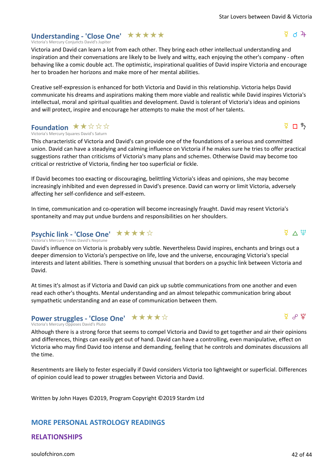### Understanding - 'Close One' **★ ★ ★ ★ ★**

Victoria's Mercury Conjuncts David's Jupiter

Victoria and David can learn a lot from each other. They bring each other intellectual understanding and inspiration and their conversations are likely to be lively and witty, each enjoying the other's company - often behaving like a comic double act. The optimistic, inspirational qualities of David inspire Victoria and encourage her to broaden her horizons and make more of her mental abilities.

Creative self-expression is enhanced for both Victoria and David in this relationship. Victoria helps David communicate his dreams and aspirations making them more viable and realistic while David inspires Victoria's intellectual, moral and spiritual qualities and development. David is tolerant of Victoria's ideas and opinions and will protect, inspire and encourage her attempts to make the most of her talents.

### Foundation  $\star\star\!\!\star\!\!\star\!\!\star\!\!\star$

Victoria's Mercury Squares David's Saturn

This characteristic of Victoria and David's can provide one of the foundations of a serious and committed union. David can have a steadying and calming influence on Victoria if he makes sure he tries to offer practical suggestions rather than criticisms of Victoria's many plans and schemes. Otherwise David may become too critical or restrictive of Victoria, finding her too superficial or fickle.

If David becomes too exacting or discouraging, belittling Victoria's ideas and opinions, she may become increasingly inhibited and even depressed in David's presence. David can worry or limit Victoria, adversely affecting her self-confidence and self-esteem.

In time, communication and co-operation will become increasingly fraught. David may resent Victoria's spontaneity and may put undue burdens and responsibilities on her shoulders.

### **Psychic link - 'Close One'** ★★★★☆

Victoria's Mercury Trines David's Neptune

David's influence on Victoria is probably very subtle. Nevertheless David inspires, enchants and brings out a deeper dimension to Victoria's perspective on life, love and the universe, encouraging Victoria's special interests and latent abilities. There is something unusual that borders on a psychic link between Victoria and David.

At times it's almost as if Victoria and David can pick up subtle communications from one another and even read each other's thoughts. Mental understanding and an almost telepathic communication bring about sympathetic understanding and an ease of communication between them.

### **Power struggles - 'Close One'** ★★★★☆

#### Victoria's Mercury Opposes David's Pluto

Although there is a strong force that seems to compel Victoria and David to get together and air their opinions and differences, things can easily get out of hand. David can have a controlling, even manipulative, effect on Victoria who may find David too intense and demanding, feeling that he controls and dominates discussions all the time.

Resentments are likely to fester especially if David considers Victoria too lightweight or superficial. Differences of opinion could lead to power struggles between Victoria and David.

Written by John Hayes ©2019, Program Copyright ©2019 Stardm Ltd

### **MORE PERSONAL ASTROLOGY READINGS**

### **RELATIONSHIPS**

[soulofchiron.com](https://soulofchiron.com/) 42 of 44





 $\frac{5}{4}$  n  $\frac{1}{2}$ 

 $\frac{8}{4}$  d  $\frac{2}{4}$ 

 $\phi \vee \pi$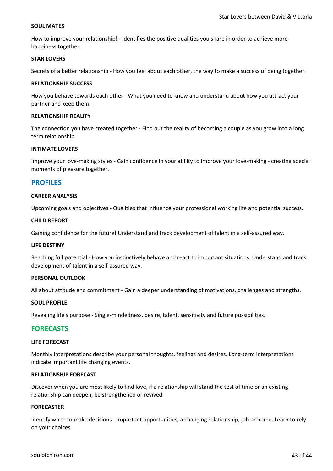#### **SOUL MATES**

How to improve your relationship! - Identifies the positive qualities you share in order to achieve more happiness together.

#### **STAR LOVERS**

Secrets of a better relationship - How you feel about each other, the way to make a success of being together.

#### **RELATIONSHIP SUCCESS**

How you behave towards each other - What you need to know and understand about how you attract your partner and keep them.

#### **RELATIONSHIP REALITY**

The connection you have created together - Find out the reality of becoming a couple as you grow into a long term relationship.

#### **INTIMATE LOVERS**

Improve your love-making styles - Gain confidence in your ability to improve your love-making - creating special moments of pleasure together.

#### **PROFILES**

#### **CAREER ANALYSIS**

Upcoming goals and objectives - Qualities that influence your professional working life and potential success.

#### **CHILD REPORT**

Gaining confidence for the future! Understand and track development of talent in a self-assured way.

#### **LIFE DESTINY**

Reaching full potential - How you instinctively behave and react to important situations. Understand and track development of talent in a self-assured way.

#### **PERSONAL OUTLOOK**

All about attitude and commitment - Gain a deeper understanding of motivations, challenges and strengths.

#### **SOUL PROFILE**

Revealing life's purpose - Single-mindedness, desire, talent, sensitivity and future possibilities.

#### **FORECASTS**

#### **LIFE FORECAST**

Monthly interpretations describe your personal thoughts, feelings and desires. Long-term interpretations indicate important life changing events.

#### **RELATIONSHIP FORECAST**

Discover when you are most likely to find love, if a relationship will stand the test of time or an existing relationship can deepen, be strengthened or revived.

#### **FORECASTER**

Identify when to make decisions - Important opportunities, a changing relationship, job or home. Learn to rely on your choices.